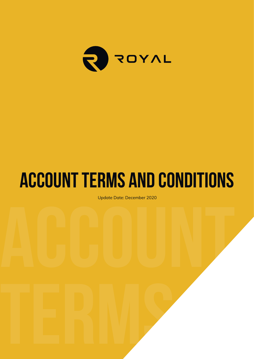

# **Account Terms and Conditions**

Update Date: December 2020<br>**Account 2020**<br><u>Account 2020</u><br>
Account 2020<br>
Account 2020<br>
Account 2020<br>
Account 2020<br>
Account 2020<br>
Account 2020<br>
Account 2020<br>
Account 2020<br>
Account 2020<br>
Account 2020<br>
Account 2020<br>
Account 20 Update Date: December 2020

**Terms and** 

**Conditions** in the conditions of the conditions of the conditions of the conditions of the conditions of the conditions of the conditions of the conditions of the conditions of the conditions of the conditions of the cond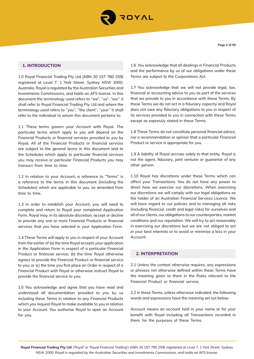

# **1. INTRODUCTION**

1.0 Royal Financial Trading Pty Ltd (ABN 30 157 780 259) registered at Level 7, 1 York Street, Sydney NSW 2000, Australia. Royal is regulated by the Australian Securities and Investments Commissions, and holds an AFS license. In this document the terminology used refers to "we'', ''us'', ''our'' it shall refer to Royal Financial Trading Pty Ltd and where the terminology used refers to ''you'', ''the client'', ''your'' it shall refer to the individual to whom this document pertains to.

1.1 These terms govern your Account with Royal. The particular terms which apply to you will depend on the Financial Products or financial services provided to you by Royal. All of the Financial Products or financial services are subject to the general terms in this document and to the Schedules which apply to particular financial services you may receive or particular Financial Products you may transact from time to time.

1.2 In relation to your Account, a reference to "Terms" is a reference to the terms in this document (including the Schedules) which are applicable to you, as amended from time to time.

1.3 In order to establish your Account, you will need to complete and return to Royal your completed Application Form. Royal may, in its absolute discretion, accept or decline to provide any one or more Financial Products or financial services that you have selected in your Application Form.

1.4 These Terms will apply to you in respect of your Account from the earlier of (a) the time Royal accepts your application in the Application Form in respect of a particular Financial Product or financial service; (b) the time Royal otherwise agrees to provide the Financial Product or financial service to you; or (c) the time you first place an Order in respect of a Financial Product with Royal or otherwise instruct Royal to provide the financial service to you.

1.5 You acknowledge and agree that you have read and understood all documentation provided to you by us including these Terms in relation to any Financial Products which you request Royal to make available to you in relation to your Account. You authorise Royal to open an Account for you.

1.6 .You acknowledge that all dealings in Financial Products and the performance by us of our obligations under these Terms are subject to the Corporations Act.

1.7 You acknowledge that we will not provide legal, tax, financial or accounting advice to you as part of the services that we provide to you in accordance with these Terms. By these Terms we do not act in a fiduciary capacity and Royal does not owe any fiduciary obligations to you in respect of its services provided to you in connection with these Terms except as expressly stated in these Terms.

1.8 These Terms do not constitute personal financial advice, nor a recommendation or opinion that a particular Financial Product or service is appropriate for you.

1.9 A liability of Royal accrues solely to that entity. Royal is not the agent, fiduciary, joint venturer or guarantor of any other person.

1.10 Royal has discretions under these Terms which can affect your Transactions. You do not have any power to direct how we exercise our discretions. When exercising our discretions we will comply with our legal obligations as the holder of an Australian Financial Services Licence. We will have regard to our policies and to managing all risks (including financial, credit and legal risks) for ourselves and all of our clients, our obligations to our counterparties, market conditions and our reputation. We will try to act reasonably in exercising our discretions but we are not obliged to act in your best interests or to avoid or minimise a loss in your Account.

# **2. INTERPRETATION**

2.1 Unless the context otherwise requires, any expressions or phrases not otherwise defined within these Terms have the meaning given to them in the Rules relevant to the Financial Product or financial service.

2.2 In these Terms, unless otherwise indicated, the following words and expressions have the meaning set out below:

Account means an account held in your name or for your benefit with Royal including all Transactions recorded in them, for the purposes of these Terms.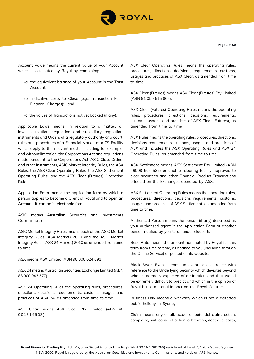

Account Value means the current value of your Account which is calculated by Royal by combining:

- (a) the equivalent balance of your Account in the Trust Account;
- (b) indicative costs to Close (e.g., Transaction Fees, Finance Charges); and
- (c) the values of Transactions not yet booked (if any).

Applicable Laws means, in relation to a matter, all laws, legislation, regulation and subsidiary regulation, instruments and Orders of a regulatory authority or a court, rules and procedures of a Financial Market or a CS Facility which apply to the relevant matter including for example, and without limitation, the Corporations Act and regulations made pursuant to the Corporations Act, ASIC Class Orders and other instruments, ASIC Market Integrity Rules, the ASX Rules, the ASX Clear Operating Rules, the ASX Settlement Operating Rules, and the ASX Clear (Futures) Operating Rules.

Application Form means the application form by which a person applies to become a Client of Royal and to open an Account. It can be in electronic form.

ASIC means Australian Securities and Investments Commission.

ASIC Market Integrity Rules means each of the ASIC Market Integrity Rules (ASX Market) 2010 and the ASIC Market Integrity Rules (ASX 24 Market) 2010 as amended from time to time.

ASX means ASX Limited (ABN 98 008 624 691).

ASX 24 means Australian Securities Exchange Limited (ABN 83 000 943 377).

ASX 24 Operating Rules the operating rules, procedures, directions, decisions, requirements, customs, usages and practices of ASX 24, as amended from time to time.

ASX Clear means ASX Clear Pty Limited (ABN 48 001314503).

ASX Clear Operating Rules means the operating rules, procedures, directions, decisions, requirements, customs, usages and practices of ASX Clear, as amended from time to time.

ASX Clear (Futures) means ASX Clear (Futures) Pty Limited (ABN 91 050 615 864).

ASX Clear (Futures) Operating Rules means the operating rules, procedures, directions, decisions, requirements, customs, usages and practices of ASX Clear (Futures), as amended from time to time.

ASX Rules means the operating rules, procedures, directions, decisions requirements, customs, usages and practices of ASX and includes the ASX Operating Rules and ASX 24 Operating Rules, as amended from time to time.

ASX Settlement means ASX Settlement Pty Limited (ABN 49008 504 532) or another clearing facility approved to clear securities and other Financial Product Transactions effected on the Exchanges operated by ASX.

ASX Settlement Operating Rules means the operating rules, procedures, directions, decisions requirements, customs, usages and practices of ASX Settlement, as amended from time to time.

Authorised Person means the person (if any) described as your authorised agent in the Application Form or another person notified by you to us under clause 5.

Base Rate means the amount nominated by Royal for this term from time to time, as notified to you (including through the Online Service) or posted on its website.

Black Swan Event means an event or occurrence with reference to the Underlying Security which deviates beyond what is normally expected of a situation and that would be extremely difficult to predict and which in the opinion of Royal has a material impact on the Royal Contract.

Business Day means a weekday which is not a gazetted public holiday in Sydney.

Claim means any or all, actual or potential claim, action, complaint, suit, cause of action, arbitration, debt due, costs,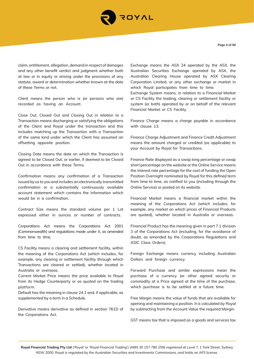

claim, entitlement, allegation, demand in respect of damages and any other benefit verdict and judgment whether both at law or in equity or arising under the provisions of any statute, award or determination whether known at the date of these Terms or not.

Client means the person who is (or persons who are) recorded as having an Account.

Close Out, Closed Out and Closing Out in relation to a Transaction means discharging or satisfying the obligations of the Client and Royal under the transaction and this includes matching up the Transaction with a Transaction of the same kind under which the Client has assumed an offsetting opposite position.

Closing Date means the date on which the Transaction is agreed to be Closed Out, or earlier, if deemed to be Closed Out in accordance with these Terms.

Confirmation means any confirmation of a Transaction issued by us to you and includes an electronically transmitted confirmation or a substantially continuously available account statement which contains the information which would be in a confirmation.

Contract Size means the standard volume per 1 Lot expressed either in ounces or number of contracts.

Corporations Act means the Corporations Act 2001 (Commonwealth) and regulations made under it, as amended from time to time.

CS Facility means a clearing and settlement facility, within the meaning of the Corporations Act (which includes, for example, any clearing or settlement facility through which Transactions are cleared or settled), whether located in Australia or overseas.

Current Market Price means the price available to Royal from its Hedge Counterparty or as quoted on the trading platform.

Default has the meaning in clause 24.1 and, if applicable, as supplemented by a term in a Schedule.

Derivative means derivative as defined in section 761D of the Corporations Act.

Exchange means the ASX 24 operated by the ASX, the Australian Securities Exchange operated by ASX, the Australian Clearing House operated by ASX Clearing Corporation Limited, or any other exchange or market in which Royal participates from time to time.

Exchange System means, in relation to a Financial Market or CS Facility the trading, clearing or settlement facility or system (or both) operated by or on behalf of the relevant Financial Market or CS Facility.

Finance Charge means a charge payable in accordance with clause 13.

Finance Charge Adjustment and Finance Credit Adjustment means the amount charged or credited (as applicable) to your Account by Royal for Transactions.

Finance Rate displayed as a swap long percentage or swap short percentage on the website or the Online Service means the interest rate percentage for the cost of funding the Open Position Overnight nominated by Royal for this defined term from time to time, as notified to you (including through the Online Service) or posted on its website.

Financial Market means a financial market within the meaning of the Corporations Act (which includes, for example, any market on which prices of Financial Products are quoted), whether located in Australia or overseas.

Financial Product has the meaning given in part 7.1 division 3 of the Corporations Act (including, for the avoidance of doubt, as amended by the Corporations Regulations and ASIC Class Orders).

Foreign Exchange means currency including Australian Dollars and foreign currency.

Forward Purchase and similar expressions mean the purchase of a currency (or other agreed security or commodity at a Price agreed at the time of the purchase, which purchase is to be settled at a future time.

Free Margin means the value of funds that are available for opening and maintaining a position. It is calculated by Royal by subtracting from the Account Value the required Margin.

GST means tax that is imposed as a goods and services tax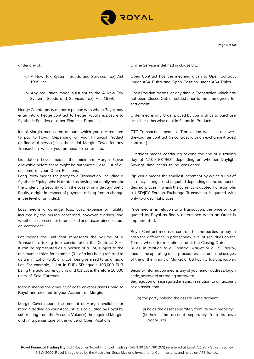

under any of:

- (a) A New Tax System (Goods and Services Tax) Act 1999; or
- (b) Any regulation made pursuant to the A New Tax System (Goods and Services Tax) Act 1999.

Hedge Counterparty means a person with whom Royal may enter into a hedge contract to hedge Royal's exposure to Synthetic Equities or other Financial Products.

Initial Margin means the amount which you are required to pay to Royal (depending on your Financial Product or financial service), as the initial Margin Cover for any Transaction which you propose to enter into.

Liquidation Level means the minimum Margin Cover allowable before there might be automatic Close Out of all or some of your Open Positions.

Long Party means the party to a Transaction (including a Synthetic Equity) who is treated as having notionally bought the Underlying Security (or, in the case of an index Synthetic Equity, a right in respect of payment arising from a change in the level of an index).

Loss means a damage, loss, cost, expense or liability incurred by the person concerned, however it arises, and whether it is present or future, fixed or unascertained, actual or contingent.

Lot means the unit that represents the volume of a Transaction, taking into consideration the Contract Size. It can be represented as a portion of a Lot, subject to the minimum lot size, for example (0.1 of a lot) being referred to as a mini Lot or (0.01 of a Lot) being referred to as a micro Lot. For example, 1 Lot in EURUSD equals 100,000 EUR being the Sold Currency unit and 0.1 Lot is therefore 10,000 units of Sold Currency.

Margin means the amount of cash or other assets paid to Royal and credited to your Account as Margin.

Margin Cover means the amount of Margin available for margin trading on your Account. It is calculated by Royal by subtracting from the Account Value: (i) the required Margin; and (ii) a percentage of the value of Open Positions.

Online Service is defined in clause 8.1.

Open Contract has the meaning given to Open Contract under ASX Rules and Open Position under ASX Rules.

Open Position means, at any time, a Transaction which has not been Closed Out, or settled prior to the time agreed for settlement.

Order means any Order placed by you with us to purchase or sell or otherwise deal in Financial Products.

OTC Transaction means a Transaction which is an overthe-counter contract (in contrast with an exchange-traded contract).

Overnight means continuing beyond the end of a trading day at 17:00 EST/EDT depending on whether Daylight Savings time needs to be considered.

Pip Value means the smallest increment by which a unit of currency changes and is quoted depending on the number of decimal places in which the currency is quoted. For example, a USD/JPY Foreign Exchange Transaction is quoted with only two decimal places.

Price means, in relation to a Transaction, the price or rate quoted by Royal as finally determined when an Order is implemented.

Royal Contract means a contract for the parties to pay in cash the difference in prices/index level of securities on the Terms, whose term continues until the Closing Date.

Rules, in relation to a Financial Market or a CS Facility, means the operating rules, procedures, customs and usages of the of the Financial Market or CS Facility (as applicable).

Security Information means any of your email address, logon code, password or trading password.

Segregation or segregated means, in relation to an account or an asset, that:

(a) the party holding the assets in the account:

(i) holds the asset separately from its own property;

(ii) holds the account separately from its own accounts;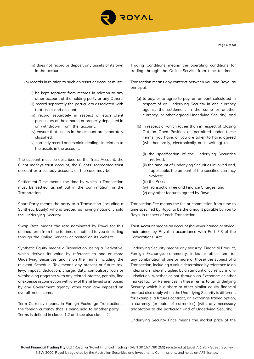

- (iii) does not record or deposit any assets of its own in the account;
- (b) records in relation to such an asset or account must:
	- (i) be kept separate from records in relation to any other account of the holding party or any Others;
	- (ii) record separately the particulars associated with that asset and account;
	- (iii) record separately in respect of each client particulars of the amount or property deposited in or withdrawn from the account;
	- (iv) ensure that assets in the account are separately classified;
	- (v) correctly record and explain dealings in relation to the assets in the account.

The account must be described as the Trust Account, the Client moneys trust account, the Clients' segregated trust account or a custody account, as the case may be.

Settlement Time means the time by which a Transaction must be settled, as set out in the Confirmation for the Transaction.

Short Party means the party to a Transaction (including a Synthetic Equity) who is treated as having notionally sold the Underlying Security.

Swap Rate means the rate nominated by Royal for this defined term from time to time, as notified to you (including through the Online Service) or posted on its website.

Synthetic Equity means a Transaction, being a Derivative, which derives its value by reference to one or more Underlying Securities and is on the Terms including the relevant Schedule. Tax means any present or future tax, levy, impost, deduction, charge, duty, compulsory loan or withholding (together with any related interest, penalty, fine or expense in connection with any of them) levied or imposed by any Government agency, other than any imposed on overall net income.

Term Currency means, in Foreign Exchange Transactions, the foreign currency that is being sold to another party. Terms is defined in clause 1.2 and see also clause 2.

Trading Conditions means the operating conditions for trading through the Online Service from time to time.

Transaction means any contract between you and Royal as principal:

- (a) to pay, or to agree to pay, an amount calculated in respect of an Underlying Security in one currency against the settlement in the same or another currency (or other agreed Underlying Security); and
- (b) in respect of which (other than in respect of Closing Out an Open Position as permitted under these Terms) you have, or you are taken to have, agreed (whether orally, electronically or in writing) to:
	- (i) the specification of the Underlying Securities involved;
	- (ii) the amount of Underlying Securities involved and, if applicable, the amount of the specified currency involved;
	- (iii) the Price;
	- (iv) Transaction Fee and Finance Charges; and
	- (v) any other features agreed by Royal.

Transaction Fee means the fee or commission from time to time specified by Royal to be the amount payable by you to Royal in respect of each Transaction.

Trust Account means an account (however named or styled) maintained by Royal in accordance with Part 7.8 of the Corporations Act.

Underlying Security means any security, Financial Product, Foreign Exchange, commodity, index or other item (or any combination of one or more of those) the subject of a Transaction, including a value determined by reference to an index or an index multiplied by an amount of currency, in any jurisdiction, whether or not through an Exchange or other market facility. References in these Terms to an Underlying Security which is a share or other similar equity financial product also apply when the Underlying Security is different, for example, a futures contract, an exchange traded option, a currency (or pairs of currencies) (with any necessary adaptation to the particular kind of Underlying Security).

Underlying Security Price means the market price of the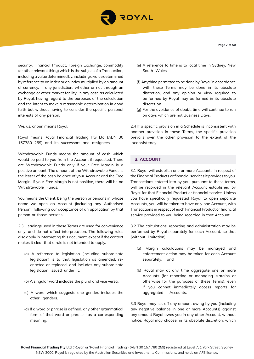

security, Financial Product, Foreign Exchange, commodity (or other relevant thing) which is the subject of a Transaction, including a value determined by, including a value determined by reference to an index or an index multiplied by an amount of currency, in any jurisdiction, whether or not through an exchange or other market facility, in any case as calculated by Royal, having regard to the purposes of the calculation and the intent to make a reasonable determination in good faith but without having to consider the specific personal interests of any person.

We, us, or our, means Royal.

Royal means Royal Financial Trading Pty Ltd (ABN 30 157780 259) and its successors and assignees.

Withdrawable Funds means the amount of cash which would be paid to you from the Account if requested. There are Withdrawable Funds only if your Free Margin is a positive amount. The amount of the Withdrawable Funds is the lesser of the cash balance of your Account and the Free Margin. If your Free Margin is not positive, there will be no Withdrawable Funds.

You means the Client, being the person or persons in whose name we open an Account (including any Authorised Person), following our acceptance of an application by that person or those persons.

2.3 Headings used in these Terms are used for convenience only, and do not affect interpretation. The following rules also apply in interpreting this document, except if the context makes it clear that a rule is not intended to apply.

- (a) A reference to legislation (including subordinate legislation) is to that legislation as amended, reenacted or replaced, and includes any subordinate legislation issued under it.
- (b) A singular word includes the plural and vice versa.
- (c) A word which suggests one gender, includes the other genders.
- (d) If a word or phrase is defined, any other grammatical form of that word or phrase has a corresponding meaning.
- (e) A reference to time is to local time in Sydney, New South Wales.
- (f) Anything permitted to be done by Royal in accordance with these Terms may be done in its absolute discretion, and any opinion or view required to be formed by Royal may be formed in its absolute discretion.
- (g) For the avoidance of doubt, time will continue to run on days which are not Business Days.

2.4 If a specific provision in a Schedule is inconsistent with another provision in these Terms, the specific provision prevails over the other provision to the extent of the inconsistency.

# **3. ACCOUNT**

3.1 Royal will establish one or more Accounts in respect of the Financial Products or financial services it provides to you. Transactions entered into by you, pursuant to these terms, will be recorded in the relevant Account established by Royal for that Financial Product or financial service. Unless you have specifically requested Royal to open separate Accounts, you will be taken to have only one Account, with Transactions in respect of each Financial Product or financial service provided to you being recorded in that Account.

3.2 The calculations, reporting and administration may be performed by Royal separately for each Account, so that (without limitation):

- (a) Margin calculations may be managed and enforcement action may be taken for each Account separately; and
- (b) Royal may at any time aggregate one or more Accounts (for reporting or managing Margins or otherwise for the purposes of these Terms), even if you cannot immediately access reports for aggregated Accounts.

3.3 Royal may set off any amount owing by you (including any negative balance in one or more Accounts) against any amount Royal owes you in any other Account, without notice. Royal may choose, in its absolute discretion, which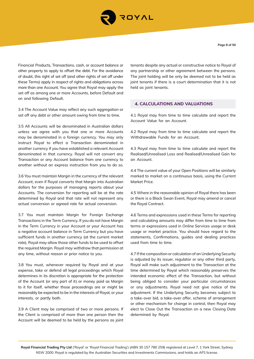

Financial Products, Transactions, cash, or account balance or other property to apply to offset the debt. For the avoidance of doubt, this right of set off (and other rights of set off under these Terms) apply in respect of rights and obligations across more than one Account. You agree that Royal may apply the set off as among one or more Accounts, before Default and on and following Default.

3.4 The Account Value may reflect any such aggregation or set off any debt or other amount owing from time to time.

3.5 All Accounts will be denominated in Australian dollars unless we agree with you that one or more Accounts may be denominated in a foreign currency. You may only instruct Royal to effect a Transaction denominated in another currency if you have established a relevant Account denominated in that currency. Royal will not convert any Transaction or any Account balance from one currency to another without an express instruction from you to do so.

3.6 You must maintain Margin in the currency of the relevant Account, even if Royal converts that Margin into Australian dollars for the purposes of managing reports about your Accounts. The conversion for reporting will be at the rate determined by Royal and that rate will not represent any actual conversion or agreed rate for actual conversion.

3.7 You must maintain Margin for Foreign Exchange Transactions in the Term Currency. If you do not have Margin in the Term Currency in your Account or your Account has a negative account balance in Term Currency but you have sufficient funds in another currency (at the current market rate), Royal may allow those other funds to be used to offset the required Margin. Royal may withdraw that permission at any time, without reason or prior notice to you.

3.8 You must, whenever required by Royal and at your expense, take or defend all legal proceedings which Royal determines in its discretion is appropriate for the protection of the Account (or any part of it) or money paid as Margin to it for itself, whether those proceedings are or might be reasonably be expected to be in the interests of Royal, or your interests, or partly both.

3.9 A Client may be comprised of two or more persons. If the Client is comprised of more than one person then the Account will be deemed to be held by the persons as joint tenants despite any actual or constructive notice to Royal of any partnership or other agreement between the persons. The joint holding will be only be deemed not to be held as joint tenants if there is a court determination that it is not held as joint tenants.

## **4. CALCULATIONS AND VALUATIONS**

4.1 Royal may from time to time calculate and report the Account Value for an Account.

4.2 Royal may from time to time calculate and report the Withdrawable Funds for an Account.

4.3 Royal may from time to time calculate and report the Realised/Unrealised Loss and Realised/Unrealised Gain for an Account.

4.4 The current value of your Open Positions will be similarly marked to market on a continuous basis, using the Current Market Price.

4.5 Where in the reasonable opinion of Royal there has been or there is a Black Swan Event, Royal may amend or cancel the Royal Contract.

4.6 Terms and expressions used in these Terms for reporting and calculating amounts may differ from time to time from terms or expressions used in Online Services usage or desk usage or market practice. You should have regard to the statements, Confirmations, guides and dealing practices used from time to time.

4.7 If the composition or calculation of an Underlying Security is adjusted by its issuer, regulator or any other third party, Royal will make such adjustment to the Transaction at the time determined by Royal which reasonably preserves the intended economic effect of the Transaction, but without being obliged to consider your particular circumstances or any adjustments. Royal need not give notice of the adjustment. If the Underlying Security becomes subject to a take-over bid, a take-over offer, scheme of arrangement or other mechanism for change in control, then Royal may elect to Close Out the Transaction on a new Closing Date determined by Royal.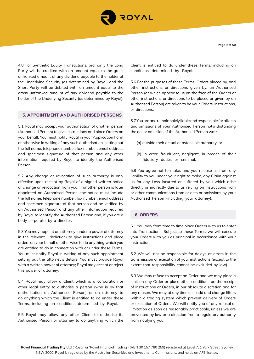

4.8 For Synthetic Equity Transactions, ordinarily the Long Party will be credited with an amount equal to the gross unfranked amount of any dividend payable to the holder of the Underlying Security (as determined by Royal) and the Short Party will be debited with an amount equal to the gross unfranked amount of any dividend payable to the holder of the Underlying Security (as determined by Royal).

# **5. APPOINTMENT AND AUTHORISED PERSONS**

5.1 Royal may accept your authorisation of another person (Authorised Person) to give instructions and place Orders on your behalf. You must notify Royal in your Application Form or otherwise in writing of any such authorisation, setting out the full name, telephone number, fax number, email address and specimen signature of that person and any other information required by Royal to identify the Authorised Person.

5.2 Any change or revocation of such authority is only effective upon receipt by Royal of a signed written notice of change or revocation from you. If another person is later appointed an Authorised Person, the notice must include the full name, telephone number, fax number, email address and specimen signature of that person and be verified by an Authorised Person and any other information required by Royal to identify the Authorised Person and, if you are a body corporate, by a director.

5.3 You may appoint an attorney (under a power of attorney in the relevant jurisdiction) to give instructions and place orders on your behalf or otherwise to do anything which you are entitled to do in connection with or under these Terms. You must notify Royal in writing of any such appointment setting out the attorney's details. You must provide Royal with a written power of attorney; Royal may accept or reject this power of attorney.

5.4 Royal may allow a Client which is a corporation or other legal entity to authorise a person (who is by that authorisation an Authorised Person) or an attorney to do anything which the Client is entitled to do under these Terms, including on conditions determined by Royal.

5.5 Royal may allow any other Client to authorise its Authorised Person or attorney to do anything which the

Client is entitled to do under these Terms, including on conditions determined by Royal.

5.6 For the purposes of these Terms, Orders placed by, and other instructions or directions given by, an Authorised Person (or which appear to us on the face of the Orders or other instructions or directions to be placed or given by an Authorised Person) are taken to be your Orders, instructions, or directions.

5.7 You are and remain solely liable and responsible for all acts and omissions of your Authorised Person notwithstanding the act or omission of the Authorised Person was:

- (a) outside their actual or ostensible authority; or
- (b) in error, fraudulent, negligent, in breach of their fiduciary duties or criminal.

5.8 You agree not to make, and you release us from any liability to you under your right to make, any Claim against us for any Loss incurred or suffered by you which arise directly or indirectly due to us relying on instructions from or other communications from or acts or omissions by your Authorised Person (including your attorney).

## **6. ORDERS**

6.1 You may from time to time place Orders with us to enter into Transactions. Subject to these Terms, we will execute your Orders with you as principal in accordance with your instructions.

6.2 We will not be responsible for delays or errors in the transmission or execution of your instructions (except to the extent that responsibility cannot be excluded by law).

6.3 We may refuse to accept an Order and we may place a limit on any Order or place other conditions on the receipt of instructions or Orders, in our absolute discretion and for any reason. We may at any time use, add and change filters within a trading system which prevent delivery of Orders or execution of Orders. We will notify you of any refusal or limitation as soon as reasonably practicable, unless we are prevented by law or a direction from a regulatory authority from notifying you.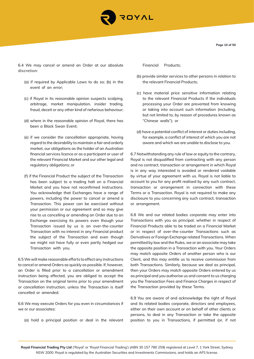

**Page 10 of 50**

6.4 We may cancel or amend an Order at our absolute discretion:

- (a) if required by Applicable Laws to do so; (b) in the event of an error;
- (c) if Royal in its reasonable opinion suspects scalping, arbitrage, market manipulation, insider trading, fraud, deceit or any other kind of nefarious behaviour;
- (d) where in the reasonable opinion of Royal, there has been a Black Swan Event;
- (e) if we consider the cancellation appropriate, having regard to the desirability to maintain a fair and orderly market, our obligations as the holder of an Australian financial services licence or as a participant or user of the relevant Financial Market and our other legal and regulatory obligations; or
- (f) if the Financial Product the subject of the Transaction has been subject to a trading halt on a Financial Market and you have not reconfirmed instructions. You acknowledge that Exchanges have a range of powers, including the power to cancel or amend a Transaction. This power can be exercised without your permission or our agreement and so may give rise to us cancelling or amending an Order due to an Exchange exercising its powers even though your Transaction issued by us is an over-the-counter Transaction with no interest in any Financial product the subject of the Transaction and even though we might not have fully or even partly hedged our Transaction with you.

6.5 We will make reasonable efforts to effect any instructions to cancel or amend Orders as quickly as possible. If, however, an Order is filled prior to a cancellation or amendment instruction being effected, you are obliged to accept the Transaction on the original terms prior to your amendment or cancellation instruction, unless the Transaction is itself cancelled or amended.

6.6 We may execute Orders for you even in circumstances if we or our associates:

(a) hold a principal position or deal in the relevant

Financial Products;

- (b) provide similar services to other persons in relation to the relevant Financial Products;
- (c) have material price sensitive information relating to the relevant Financial Products if the individuals processing your Order are prevented from knowing or taking into account such information (including, but not limited to, by reason of procedures known as "Chinese walls"); or
- (d) have a potential conflict of interest or duties including, for example, a conflict of interest of which you are not aware and which we are unable to disclose to you.

6.7 Notwithstanding any rule of law or equity to the contrary, Royal is not disqualified from contracting with any person and no contract, transaction or arrangement in which Royal is in any way interested is avoided or rendered voidable by virtue of your agreement with us. Royal is not liable to account to you for any profit realised by any such contract, transaction or arrangement in connection with these Terms or a Transaction. Royal is not required to make any disclosure to you concerning any such contract, transaction or arrangement.

6.8 We and our related bodies corporate may enter into Transactions with you as principal, whether in respect of Financial Products able to be traded on a Financial Market or in respect of over-the-counter Transactions such as Derivatives or Foreign Exchange related Transactions. When permitted by law and the Rules, we or an associate may take the opposite position in a Transaction with you. Your Orders may match opposite Orders of another person who is our Client, and this may entitle us to receive commission from both Transactions. Similarly, because we deal as principal, then your Orders may match opposite Orders entered by us as principal and you authorise us and consent to us charging you the Transaction Fees and Finance Charges in respect of the Transaction provided by these Terms.

6.9 You are aware of and acknowledge the right of Royal and its related bodies corporate, directors and employees, either on their own account or on behalf of other clients or persons, to deal in any Transaction or take the opposite position to you in Transactions, if permitted (or, if not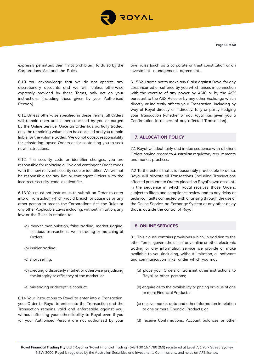

expressly permitted, then if not prohibited) to do so by the Corporations Act and the Rules.

6.10 You acknowledge that we do not operate any discretionary accounts and we will, unless otherwise expressly provided by these Terms, only act on your instructions (including those given by your Authorised Person).

6.11 Unless otherwise specified in these Terms, all Orders will remain open until either cancelled by you or purged by the Online Service. Once an Order has partially traded, only the remaining volume can be cancelled and you remain liable for the volume traded. We do not accept responsibility for reinstating lapsed Orders or for contacting you to seek new instructions.

6.12 If a security code or identifier changes, you are responsible for replacing all live and contingent Order codes with the new relevant security code or identifier. We will not be responsible for any live or contingent Orders with the incorrect security code or identifier.

6.13 You must not instruct us to submit an Order to enter into a Transaction which would breach or cause us or any other person to breach the Corporations Act, the Rules or any other Applicable Laws including, without limitation, any law or the Rules in relation to:

- (a) market manipulation, false trading, market rigging, fictitious transactions, wash trading or matching of Orders;
- (b) insider trading;
- (c) short selling;
- (d) creating a disorderly market or otherwise prejudicing the integrity or efficiency of the market; or
- (e) misleading or deceptive conduct.

6.14 Your instructions to Royal to enter into a Transaction, your Order to Royal to enter into the Transaction and the Transaction remains valid and enforceable against you, without affecting your other liability to Royal even if you (or your Authorised Person) are not authorised by your own rules (such as a corporate or trust constitution or an investment management agreement).

6.15 You agree not to make any Claim against Royal for any Loss incurred or suffered by you which arises in connection with the exercise of any power by ASIC or by the ASX pursuant to the ASX Rules or by any other Exchange which directly or indirectly affects your Transaction, including by way of Royal directly or indirectly, fully or partly hedging your Transaction (whether or not Royal has given you a Confirmation in respect of any affected Transaction).

# **7. ALLOCATION POLICY**

7.1 Royal will deal fairly and in due sequence with all client Orders having regard to Australian regulatory requirements and market practices.

7.2 To the extent that it is reasonably practicable to do so, Royal will allocate all Transactions (including Transactions effected pursuant to Orders placed on Royal's own account) in the sequence in which Royal receives those Orders, subject to filters and compliance review and to any delay or technical faults connected with or arising through the use of the Online Service, an Exchange System or any other delay that is outside the control of Royal.

## **8. ONLINE SERVICES**

8.1 This clause contains provisions which, in addition to the other Terms, govern the use of any online or other electronic trading or any information service we provide or make available to you (including, without limitation, all software and communication links) under which you may:

- (a) place your Orders or transmit other instructions to Royal or other persons;
- (b) enquire as to the availability or pricing or value of one or more Financial Products;
- (c) receive market data and other information in relation to one or more Financial Products; or
- (d) receive Confirmations, Account balances or other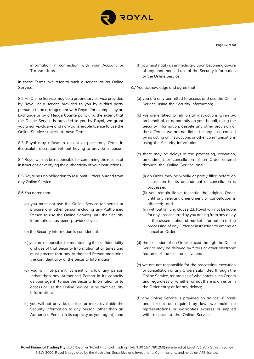

information in connection with your Account or Transactions.

In these Terms, we refer to such a service as an Online Service.

8.2 An Online Service may be a proprietary service provided by Royal, or a service provided to you by a third party pursuant to an arrangement with Royal (for example, by an Exchange or by a Hedge Counterparty). To the extent that the Online Service is provided to you by Royal, we grant you a non-exclusive and non-transferable licence to use the Online Service subject to these Terms.

8.3 Royal may refuse to accept or place any Order in itsabsolute discretion without having to provide a reason.

8.4 Royal will not be responsible for confirming the receipt of instructions or verifying the authenticity of your instructions.

8.5 Royal has no obligation to resubmit Orders purged from any Online Service.

#### 8.6 You agree that:

- (a) you must not use the Online Service (or permit or procure any other person including any Authorised Person to use the Online Service) until the Security Information has been provided by us;
- (b) the Security Information is confidential;
- (c) you are responsible for maintaining the confidentiality and use of that Security Information at all times and must procure that any Authorised Person maintains the confidentiality of the Security Information;
- (d) you will not permit, consent or allow any person (other than any Authorised Person in its capacity as your agent) to use the Security Information or to access or use the Online Service using that Security Information;
- (e) you will not provide, disclose or make available the Security Information to any person (other than an Authorised Person in its capacity as your agent); and

(f) you must notify us immediately upon becoming aware of any unauthorised use of the Security Information or the Online Service.

8.7 You acknowledge and agree that:

- (a) you are only permitted to access and use the Online Service, using the Security Information;
- (b) we are entitled to rely on all instructions given by, on behalf of, or apparently on your behalf, using the Security Information; despite any other provision of these Terms, we are not liable for any Loss caused by us acting on instructions or other communications using the Security Information;
- (c) there may be delays in the processing, execution, amendment or cancellation of an Order entered through the Online Service and:
	- (i) an Order may be wholly or partly filled before an instruction for its amendment or cancellation is processed;
	- (ii) you remain liable to settle the original Order, until any relevant amendment or cancellation is affected; and
	- (iii) without limiting clause 23, Royal will not be liable for any Loss incurred by you arising from any delay in the dissemination of market information or the processing of any Order or instruction to amend or cancel an Order;
- (d) the execution of an Order placed through the Online Service may be delayed by filters or other electronic features of the electronic system;
- (e) we are not responsible for the processing, execution or cancellation of any Orders submitted through the Online Service, regardless of who enters such Orders and regardless of whether or not there is an error in the Order entry or for any delays;
- (f) any Online Service is provided on an "as is" basis and, except as required by law, we make no representations or warranties express or implied with respect to the Online Service;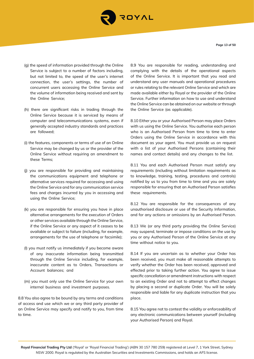

**Page 13 of 50**

- (g) the speed of information provided through the Online Service is subject to a number of factors including, but not limited to, the speed of the user's internet connection, the user's settings, the number of concurrent users accessing the Online Service and the volume of information being received and sent by the Online Service;
- (h) there are significant risks in trading through the Online Service because it is serviced by means of computer and telecommunications systems, even if generally accepted industry standards and practices are followed;
- (i) the features, components or terms of use of an Online Service may be changed by us or the provider of the Online Service without requiring an amendment to these Terms;
- (j) you are responsible for providing and maintaining the communications equipment and telephone or alternative services required for accessing and using the Online Service and for any communication service fees and charges incurred by you in accessing and using the Online Service;
- (k) you are responsible for ensuring you have in place alternative arrangements for the execution of Orders or other services available through the Online Service, if the Online Service or any aspect of it ceases to be available or subject to failure (including, for example, arrangements for the use of telephone or facsimile);
- (l) you must notify us immediately if you become aware of any inaccurate information being transmitted through the Online Service including, for example, inaccurate content as to Orders, Transactions or Account balances; and
- (m) you must only use the Online Service for your own internal business and investment purposes.

8.8 You also agree to be bound by any terms and conditions of access and use which we or any third party provider of an Online Service may specify and notify to you, from time to time.

8.9 You are responsible for reading, understanding and complying with the details of the operational aspects of the Online Service. It is important that you read and understand any user manuals and operational procedures or rules relating to the relevant Online Service and which are made available either by Royal or the provider of the Online Service. Further information on how to use and understand the Online Service can be obtained on our website or through the Online Service (as applicable).

8.10 Either you or your Authorised Person may place Orders with us using the Online Service. You authorise each person who is an Authorised Person from time to time to enter Orders using the Online Service in accordance with this document as your agent. You must provide us on request with a list of your Authorised Persons (containing their names and contact details) and any changes to the list.

8.11 You and each Authorised Person must satisfy any requirements (including without limitation requirements as to knowledge, training, testing, procedures and controls) notified by us to you from time to time and you are solely responsible for ensuring that an Authorised Person satisfies these requirements.

8.12 You are responsible for the consequences of any unauthorised disclosure or use of the Security Information, and for any actions or omissions by an Authorised Person.

8.13 We (or any third party providing the Online Service) may suspend, terminate or impose conditions on the use by you or any Authorised Person of the Online Service at any time without notice to you.

8.14 If you are uncertain as to whether your Order has been received, you must make all reasonable attempts to verify whether the Order has been received, approved and effected prior to taking further action. You agree to issue specific cancellation or amendment instructions with respect to an existing Order and not to attempt to effect changes by placing a second or duplicate Order. You will be solely responsible and liable for any duplicate instruction that you place.

8.15 You agree not to contest the validity or enforceability of any electronic communications between yourself (including your Authorised Person) and Royal.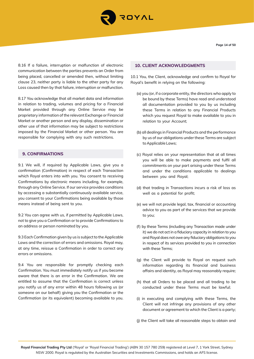

**Page 14 of 50**

8.16 If a failure, interruption or malfunction of electronic communication between the parties prevents an Order from being placed, cancelled or amended then, without limiting clause 23, neither party is liable to the other party for any Loss caused then by that failure, interruption or malfunction.

8.17 You acknowledge that all market data and information in relation to trading, volumes and pricing for a Financial Market provided through any Online Service may be proprietary information of the relevant Exchange or Financial Market or another person and any display, dissemination or other use of that information may be subject to restrictions imposed by the Financial Market or other person. You are responsible for complying with any such restrictions.

# **9. CONFIRMATIONS**

9.1 We will, if required by Applicable Laws, give you a confirmation (Confirmation) in respect of each Transaction which Royal enters into with you. You consent to receiving Confirmations by electronic means including, for example, through any Online Service. If our service provides conditions by accessing a substantially continuously available service, you consent to your Confirmations being available by those means instead of being sent to you.

9.2 You can agree with us, if permitted by Applicable Laws, not to give you a Confirmation or to provide Confirmations to an address or person nominated by you.

9.3 Each Confirmation given by us is subject to the Applicable Laws and the correction of errors and omissions. Royal may, at any time, reissue a Confirmation in order to correct any errors or omissions.

9.4 You are responsible for promptly checking each Confirmation. You must immediately notify us if you become aware that there is an error in the Confirmation. We are entitled to assume that the Confirmation is correct unless you notify us of any error within 48 hours following us (or someone on our behalf) giving you the Confirmation or the Confirmation (or its equivalent) becoming available to you.

# **10. CLIENT ACKNOWLEDGMENTS**

10.1 You, the Client, acknowledge and confirm to Royal for Royal's benefit in relying on the following:

- (a) you (or, if a corporate entity, the directors who apply to be bound by these Terms) have read and understood all documentation provided to you by us including these Terms in relation to any Financial Products which you request Royal to make available to you in relation to your Account;
- (b) all dealings in Financial Products and the performance by us of our obligations under these Terms are subject to Applicable Laws;
- (c) Royal relies on your representation that at all times you will be able to make payments and fulfil all commitments on your part arising under these Terms and under the conditions applicable to dealings between you and Royal;
- (d) that trading in Transactions incurs a risk of loss as well as a potential for profit;
- (e) we will not provide legal, tax, financial or accounting advice to you as part of the services that we provide to you;
- (f) by these Terms (including any Transaction made under it) we do not act in a fiduciary capacity in relation to you and Royal does not owe any fiduciary obligations to you in respect of its services provided to you in connection with these Terms;
- (g) the Client will provide to Royal on request such information regarding its financial and business affairs and identity, as Royal may reasonably require;
- (h) that all Orders to be placed and all trading to be conducted under these Terms must be lawful;
- (i) in executing and complying with these Terms, the Client will not infringe any provisions of any other document or agreement to which the Client is a party;
- (j) the Client will take all reasonable steps to obtain and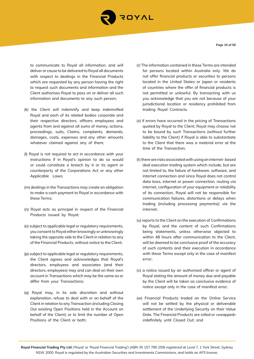

to communicate to Royal all information, and will deliver or cause to be delivered to Royal all documents with respect to dealings in the Financial Products which are requested by any person having the right to request such documents and information and the Client authorises Royal to pass on or deliver all such information and documents to any such person;

- (k) the Client will indemnify and keep indemnified Royal and each of its related bodies corporate and their respective directors, officers employees and agents from and against all sums of money, actions, proceedings, suits, Claims, complaints, demands, damages, costs, expenses and any other amounts whatever claimed against any of them;
- (l) Royal is not required to act in accordance with your instructions if in Royal's opinion to do so would or could constitute a breach by it or its agent or counterparty of the Corporations Act or any other Applicable Laws;
- (m) dealings in the Transactions may create an obligation to make a cash payment to Royal in accordance with these Terms;
- (n) Royal acts as principal in respect of the Financial Products issued by Royal;
- (o) subject to applicable legal or regulatory requirements, you consent to Royal either knowingly or unknowingly taking the opposite side to the Client in relation to any of the Financial Products, without notice to the Client;
- (p) subject to applicable legal or regulatory requirements, the Client agrees and acknowledges that Royal's directors, employees and associates (and their directors, employees) may and can deal on their own account in Transactions which may be the same as or differ from your Transactions;
- (q) Royal may, in its sole discretion and without explanation, refuse to deal with or on behalf of the Client in relation to any Transaction (including Closing Out existing Open Positions held in the Account on behalf of the Client) or to limit the number of Open Positions of the Client or both;
- (r) The information contained in these Terms are intended for persons located within Australia only. We do not offer financial products or securities to persons located in the United States or Japan or residents of countries where the offer of financial products is not permitted or unlawful. By transacting with us you acknowledge that you are not because of your jurisdictional location or residency prohibited from trading Royal Contracts.
- (s) if errors have occurred in the pricing of Transactions quoted by Royal to the Client, Royal may choose not to be bound by such Transactions (without further liability to the Client) if Royal is able to substantiate to the Client that there was a material error at the time of the Transaction;
- (t) there are risks associated with using an internet- based deal execution trading system which include, but are not limited to, the failure of hardware, software, and internet connection and since Royal does not control data lows, internet or power connection, routing via internet, configuration of your equipment or reliability of its connection, Royal will not be responsible for communication failures, distortions or delays when trading (including processing payments)) via the internet;
- (u) reports to the Client on the execution of Confirmations by Royal, and the content of such Confirmations being statements, unless otherwise objected to within 48 hours after communication to the Client, will be deemed to be conclusive proof of the accuracy of such contents and their execution in accordance with these Terms except only in the case of manifest error;
- (v) a notice issued by an authorised officer or agent of Royal stating the amount of money due and payable by the Client will be taken as conclusive evidence of notice except only in the case of manifest error;
- (w) Financial Products traded on the Online Service will not be settled by the physical or deliverable settlement of the Underlying Security on their Value Date. The Financial Products are rolled or «swapped» indefinitely until Closed Out; and

**Page 15 of 50**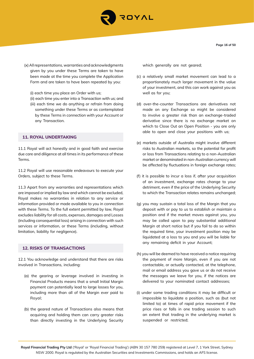

**Page 16 of 50**

- (x) All representations, warranties and acknowledgments given by you under these Terms are taken to have been made at the time you complete the Application Form and are taken to have been repeated by you:
	- (i) each time you place an Order with us;
	- (ii) each time you enter into a Transaction with us; and
	- (iii) each time we do anything or refrain from doing something under these Terms or as contemplated by these Terms in connection with your Account or any Transaction.

# **11. ROYAL UNDERTAKING**

11.1 Royal will act honestly and in good faith and exercise due care and diligence at all times in its performance of these Terms.

11.2 Royal will use reasonable endeavours to execute your Orders, subject to these Terms.

11.3 Apart from any warranties and representations which are imposed or implied by law and which cannot be excluded, Royal makes no warranties in relation to any service or information provided or made available to you in connection with these Terms. To the full extent permitted by law, Royal excludes liability for all costs, expenses, damages and Losses (including consequential loss) arising in connection with such services or information, or these Terms (including, without limitation, liability for negligence).

# **12. RISKS OF TRANSACTIONS**

12.1 You acknowledge and understand that there are risks involved in Transactions, including:

- (a) the gearing or leverage involved in investing in Financial Products means that a small Initial Margin payment can potentially lead to large losses for you, including more than all of the Margin ever paid to Royal;
- (b) the geared nature of Transactions also means that acquiring and holding them can carry greater risks than directly investing in the Underlying Security

which generally are not geared;

- (c) a relatively small market movement can lead to a proportionately much larger movement in the value of your investment, and this can work against you as well as for you;
- (d) over-the-counter Transactions are derivatives not made on any Exchange so might be considered to involve a greater risk than an exchange-traded derivative since there is no exchange market on which to Close Out an Open Position - you are only able to open and close your positions with us;
- (e) markets outside of Australia might involve different risks to Australian markets, so the potential for profit or loss from Transactions relating to a non-Australian market or denominated in non-Australian currency will be affected by fluctuations in foreign exchange rates;
- (f) it is possible to incur a loss if, after your acquisition of an investment, exchange rates change to your detriment, even if the price of the Underlying Security to which the Transaction relates remains unchanged;
- (g) you may sustain a total loss of the Margin that you deposit with or pay to us to establish or maintain a position and if the market moves against you, you may be called upon to pay substantial additional Margin at short notice but if you fail to do so within the required time, your investment position may be liquidated at a loss to you and you will be liable for any remaining deficit in your Account;
- (h) you will be deemed to have received a notice requiring the payment of more Margin, even if you are not contactable, or actually contacted, at the telephone, mail or email address you gave us or do not receive the messages we leave for you, if the notices are delivered to your nominated contact addresses;
- (i) under some trading conditions it may be difficult or impossible to liquidate a position, such as (but not limited to) at times of rapid price movement if the price rises or falls in one trading session to such an extent that trading in the underlying market is suspended or restricted;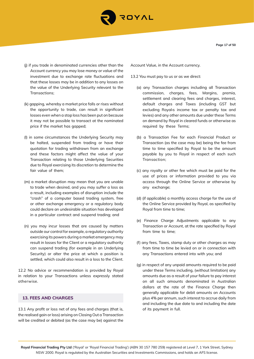

- (j) if you trade in denominated currencies other than the Account currency you may lose money or value of the investment due to exchange rate fluctuations and that these losses may be in addition to any losses on the value of the Underlying Security relevant to the Transactions;
- (k) gapping, whereby a market price falls or rises without the opportunity to trade, can result in significant losses even when a stop loss has been put on because it may not be possible to transact at the nominated price if the market has gapped;
- (l) in some circumstances the Underlying Security may be halted, suspended from trading or have their quotation for trading withdrawn from an exchange and these factors might affect the value of your Transaction relating to those Underlying Securities due to Royal exercising its discretion to determine the fair value of them;
- (m) a market disruption may mean that you are unable to trade when desired, and you may suffer a loss as a result, including examples of disruption include the "crash" of a computer based trading system, free or other exchange emergency or a regulatory body could declare an undesirable situation has developed in a particular contract and suspend trading; and
- (n) you may incur losses that are caused by matters outside our control for example, a regulatory authority exercising its powers during a market emergency may result in losses for the Client or a regulatory authority can suspend trading (for example in an Underlying Security) or alter the price at which a position is settled, which could also result in a loss to the Client.

12.2 No advice or recommendation is provided by Royal in relation to your Transactions unless expressly stated otherwise.

# **13. FEES AND CHARGES**

13.1 Any profit or loss net of any fees and charges (that is, the realised gain or loss) arising on Closing Out a Transaction will be credited or debited (as the case may be) against the Account Value, in the Account currency.

- 13.2 You must pay to us or as we direct:
	- (a) any Transaction charges including all Transaction commission, charges, fees, Margins, premia, settlement and clearing fees and charges, interest, default charges and Taxes (including GST but excluding Royal›s income tax or penalty tax and levies) and any other amounts due under these Terms on demand by Royal in cleared funds or otherwise as required by these Terms;
	- (b) a Transaction Fee for each Financial Product or Transaction (as the case may be) being the fee from time to time specified by Royal to be the amount payable by you to Royal in respect of each such Transaction;
	- (c) any royalty or other fee which must be paid for the use of prices or information provided to you via access through the Online Service or otherwise by any exchange;
	- (d) (if applicable) a monthly access charge for the use of the Online Service provided by Royal, as specified by Royal from time to time;
	- (e) Finance Charge Adjustments applicable to any Transaction or Account, at the rate specified by Royal from time to time;
	- (f) any fees, Taxes, stamp duty or other charges as may from time to time be levied on or in connection with any Transactions entered into with you; and
	- (g) in respect of any unpaid amounts required to be paid under these Terms including, (without limitation) any amounts due as a result of your failure to pay interest on all such amounts denominated in Australian dollars at the rate of the Finance Charge then generally applicable for debit amounts on Accounts plus 4% per annum, such interest to accrue daily from and including the due date to and including the date of its payment in full.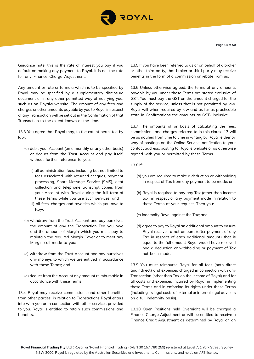

Guidance note: this is the rate of interest you pay if you default on making any payment to Royal. It is not the rate for any Finance Charge Adjustment.

Any amount or rate or formula which is to be specified by Royal may be specified by a supplementary disclosure document or in any other permitted way of notifying you, such as on Royal›s website. The amount of any fees and charges or other amounts payable by you to Royal in respect of any Transaction will be set out in the Confirmation of that Transaction to the extent known at the time.

13.3 You agree that Royal may, to the extent permitted by law:

- (a) debit your Account (on a monthly or any other basis) or deduct from the Trust Account and pay itself, without further reference to you:
	- (i) all administration fees, including but not limited to fees associated with returned cheques, payment processing, Short Message Service (SMS), debt collection and telephone transcript copies from your Account with Royal during the full term of these Terms while you use such services; and
	- (ii) all fees, charges and royalties which you owe to Royal;
- (b) withdraw from the Trust Account and pay ourselves the amount of any the Transaction Fee you owe and the amount of Margin which you must pay to maintain the required Margin Cover or to meet any Margin call made to you;
- (c) withdraw from the Trust Account and pay ourselves any moneys to which we are entitled in accordance with these Terms; and
- (d) deduct from the Account any amount reimbursable in accordance with these Terms.

13.4 Royal may receive commissions and other benefits, from other parties, in relation to Transactions Royal enters into with you or in connection with other services provided to you. Royal is entitled to retain such commissions and benefits.

13.5 If you have been referred to us or on behalf of a broker or other third party, that broker or third party may receive benefits in the form of a commission or rebate from us.

13.6 Unless otherwise agreed, the terms of any amounts payable by you under these Terms are stated exclusive of GST. You must pay the GST on the amount charged for the supply of the service, unless that is not permitted by law. Royal will when required by law and as far as practicable state in Confirmations the amounts as GST- inclusive.

13.7 The amounts of or basis of calculating the fees, commissions and charges referred to in this clause 13 will be as notified from time to time in writing by Royal, either by way of postings on the Online Service, notification to your contact address, posting to Royal›s website or as otherwise agreed with you or permitted by these Terms.

#### 13.8 If:

- (a) you are required to make a deduction or withholding in respect of Tax from any payment to be made; or
- (b) Royal is required to pay any Tax (other than income tax) in respect of any payment made in relation to these Terms at your request, Then you:
- (c) indemnify Royal against the Tax; and
- (d) agree to pay to Royal an additional amount to ensure Royal receives a net amount (after payment of any Tax in respect of each additional amount) that is equal to the full amount Royal would have received had a deduction or withholding or payment of Tax not been made.

13.9 You must reimburse Royal for all fees (both direct andindirect) and expenses charged in connection with any Transaction (other than Tax on the income of Royal) and for all costs and expenses incurred by Royal in implementing these Terms and in enforcing its rights under these Terms (including its legal costs of external or internal legal advisers on a full indemnity basis).

13.10 Open Positions held Overnight will be charged a Finance Charge Adjustment or will be entitled to receive a Finance Credit Adjustment as determined by Royal on an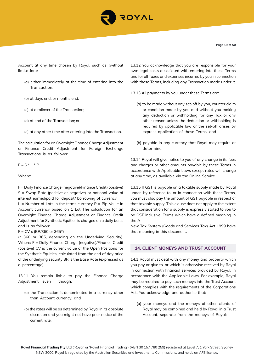

Account at any time chosen by Royal, such as (without limitation):

- (a) either immediately at the time of entering into the Transaction;
- (b) at days end, or months end;
- (c) at a rollover of the Transaction;
- (d) at end of the Transaction; or
- (e) at any other time after entering into the Transaction.

The calculation for an Overnight Finance Charge Adjustment or Finance Credit Adjustment for Foreign Exchange Transactions is as follows:

 $F = S * L * P$ 

Where:

F = Daily Finance Charge (negative)/Finance Credit (positive) S = Swap Rate (positive or negative) or notional value of interest earned/paid for deposit/ borrowing of currency

 $L =$  Number of Lots in the terms currency  $P =$  Pip Value in Account currency based on 1 Lot The calculation for an Overnight Finance Charge Adjustment or Finance Credit Adjustment for Synthetic Equities is charged on a daily basis and is as follows:

 $F = CV \times (BR/360 \text{ or } 365^*)$ 

(\* 360 or 365, depending on the Underlying Security). Where: F = Daily Finance Charge (negative)/Finance Credit (positive) CV is the current value of the Open Positions for the Synthetic Equities, calculated from the end of day price of the underlying security BR is the Base Rate (expressed as a percentage)

13.11 You remain liable to pay the Finance Charge Adjustment even though:

- (a) the Transaction is denominated in a currency other than Account currency; and
- (b) the rates will be as determined by Royal in its absolute discretion and you might not have prior notice of the current rate.

13.12 You acknowledge that you are responsible for your own legal costs associated with entering into these Terms and for all Taxes and expenses incurred by you in connection with these Terms, including any Transaction made under it.

13.13 All payments by you under these Terms are:

- (a) to be made without any set-off by you, counter claim or condition made by you and without you making any deduction or withholding for any Tax or any other reason unless the deduction or withholding is required by applicable law or the set-off arises by express application of these Terms; and
- (b) payable in any currency that Royal may require or determine.

13.14 Royal will give notice to you of any change in its fees and charges or other amounts payable by these Terms in accordance with Applicable Laws except rates will change at any time, as available via the Online Service.

13.15 If GST is payable on a taxable supply made by Royal under, by reference to, or in connection with these Terms, you must also pay the amount of GST payable in respect of that taxable supply. This clause does not apply to the extent that consideration for a supply is expressly stated to you to be GST inclusive. Terms which have a defined meaning in the A

New Tax System (Goods and Services Tax) Act 1999 have that meaning in this document.

# **14. CLIENT MONEYS AND TRUST ACCOUNT**

14.1 Royal must deal with any money and property which you pay or give to, or which is otherwise received by Royal in connection with financial services provided by Royal, in accordance with the Applicable Laws. For example, Royal may be required to pay such moneys into the Trust Account which complies with the requirements of the Corporations Act. You acknowledge and authorise that:

(a) your moneys and the moneys of other clients of Royal may be combined and held by Royal in a Trust Account, separate from the moneys of Royal;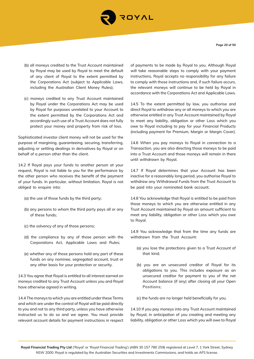

**Page 20 of 50**

- (b) all moneys credited to the Trust Account maintained by Royal may be used by Royal to meet the default of any client of Royal to the extent permitted by the Corporations Act (subject to Applicable Laws, including the Australian Client Money Rules);
- (c) moneys credited to any Trust Account maintained by Royal under the Corporations Act may be used by Royal for purposes unrelated to your Account to the extent permitted by the Corporations Act and accordingly such use of a Trust Account does not fully protect your money and property from risk of loss.

Sophisticated investor client money will not be used for the purpose of margining, guaranteeing, securing, transferring, adjusting or settling dealings in derivatives by Royal or on behalf of a person other than the client.

14.2 If Royal pays your funds to another person at your request, Royal is not liable to you for the performance by the other person who receives the benefit of the payment of your funds. In particular, without limitation, Royal is not obliged to enquire into:

- (a) the use of those funds by the third party;
- (b) any persons to whom the third party pays all or any of these funds;
- (c) the solvency of any of those persons;
- (d) the compliance by any of those person with the Corporations Act, Applicable Laws and Rules;
- (e) whether any of those persons hold any part of these funds on any nominee, segregated account, trust or any other basis for your protection or security.

14.3 You agree that Royal is entitled to all interest earned on moneys credited to any Trust Account unless you and Royal have otherwise agreed in writing.

14.4 The moneys to which you are entitled under these Terms and which are under the control of Royal will be paid directly to you and not to any third party, unless you have otherwise instructed us to do so and we agree. You must provide relevant account details for payment instructions in respect of payments to be made by Royal to you. Although Royal will take reasonable steps to comply with your payment instructions, Royal accepts no responsibility for any failure to comply with those instructions and, if such failure occurs, the relevant moneys will continue to be held by Royal in accordance with the Corporations Act and Applicable Laws.

14.5 To the extent permitted by law, you authorise and direct Royal to withdraw any or all moneys to which you are otherwise entitled in any Trust Account maintained by Royal to meet any liability, obligation or other Loss which you owe to Royal including to pay for your Financial Products (including payment for Premium, Margin or Margin Cover).

14.6 When you pay moneys to Royal in connection to a Transaction, you are also directing those moneys to be paid into a Trust Account and those moneys will remain in there until withdrawn by Royal.

14.7 If Royal determines that your Account has been inactive for a reasonably long period, you authorise Royal to withdraw any Withdrawal Funds from the Trust Account to be paid into your nominated bank account.

14.8 You acknowledge that Royal is entitled to be paid from those moneys to which you are otherwise entitled in any Trust Account maintained by Royal an amount sufficient to meet any liability, obligation or other Loss which you owe to Royal.

14.9 You acknowledge that from the time any funds are withdrawn from the Trust Account:

- (a) you lose the protections given to a Trust Account of that kind;
- (b) you are an unsecured creditor of Royal for its obligations to you. This includes exposure as an unsecured creditor for payment to you of the net Account balance (if any) after closing all your Open Positions;

(c) the funds are no longer held beneficially for you.

14.10 If you pay moneys into any Trust Account maintained by Royal, in anticipation of you creating and meeting any liability, obligation or other Loss which you will owe to Royal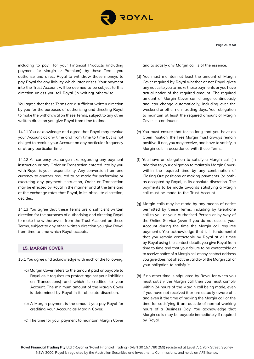

**Page 21 of 50**

including to pay for your Financial Products (including payment for Margin or Premium), by these Terms you authorise and direct Royal to withdraw those moneys to pay Royal for any liability which later arises. Your payment into the Trust Account will be deemed to be subject to this direction unless you tell Royal (in writing) otherwise.

You agree that these Terms are a sufficient written direction by you for the purposes of authorising and directing Royal to make the withdrawal on these Terms, subject to any other written direction you give Royal from time to time.

14.11 You acknowledge and agree that Royal may revalue your Account at any time and from time to time but is not obliged to revalue your Account on any particular frequency or at any particular time.

14.12 All currency exchange risks regarding any payment instruction or any Order or Transaction entered into by you with Royal is your responsibility. Any conversion from one currency to another required to be made for performing or executing any payment instruction, Order or Transaction may be effected by Royal in the manner and at the time and at the exchange rates that Royal, in its absolute discretion, decides.

14.13 You agree that these Terms are a sufficient written direction for the purposes of authorising and directing Royal to make the withdrawals from the Trust Account on these Terms, subject to any other written direction you give Royal from time to time which Royal accepts.

# **15. MARGIN COVER**

15.1 You agree and acknowledge with each of the following:

- (a) Margin Cover refers to the amount paid or payable to Royal as it requires (to protect against your liabilities on Transactions) and which is credited to your Account. The minimum amount of the Margin Cover is determined by Royal in its absolute discretion.
- (b) A Margin payment is the amount you pay Royal for crediting your Account as Margin Cover.
- (c) The time for your payment to maintain Margin Cover

and to satisfy any Margin call is of the essence.

- (d) You must maintain at least the amount of Margin Cover required by Royal whether or not Royal gives any notice to you to make those payments or you have actual notice of the required amount. The required amount of Margin Cover can change continuously and can change automatically, including over the weekend or other non- trading days. Your obligation to maintain at least the required amount of Margin Cover is continuous.
- (e) You must ensure that for so long that you have an Open Position, the Free Margin must always remain positive. If not, you may receive, and have to satisfy, a Margin call, in accordance with these Terms.
- (f) You have an obligation to satisfy a Margin call (in addition to your obligation to maintain Margin Cover) within the required time by any combination of Closing Out positions or making payments (or both) as accepted by Royal, in its absolute discretion. The payments to be made towards satisfying a Margin call must be made to the Trust Account.
- (g) Margin calls may be made by any means of notice permitted by these Terms, including by telephone call to you or your Authorised Person or by way of the Online Service (even if you do not access your Account during the time the Margin call requires payment). You acknowledge that it is fundamental that you remain contactable by Royal at all times by Royal using the contact details you give Royal from time to time and that your failure to be contactable or to receive notice of a Margin call at any contact address you give does not affect the validity of the Margin call or your obligation to satisfy it.
- (h) If no other time is stipulated by Royal for when you must satisfy the Margin call then you must comply within 24 hours of the Margin call being made, even if you have not received it or are actually aware of it and even if the time of making the Margin call or the time for satisfying it are outside of normal working hours of a Business Day. You acknowledge that Margin calls may be payable immediately if required by Royal.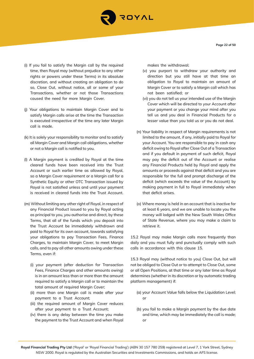

- (i) If you fail to satisfy the Margin call by the required time, then Royal may (without prejudice to any other rights or powers under these Terms) in its absolute discretion, and without creating an obligation to do so, Close Out, without notice, all or some of your Transactions, whether or not those Transactions caused the need for more Margin Cover.
- (j) Your obligations to maintain Margin Cover and to satisfy Margin calls arise at the time the Transaction is executed irrespective of the time any later Margin call is made.
- (k) It is solely your responsibility to monitor and to satisfy all Margin Cover and Margin call obligations, whether or not a Margin call is notified to you.
- (l) A Margin payment is credited by Royal at the time cleared funds have been received into the Trust Account or such earlier time as allowed by Royal, so a Margin Cover requirement or a Margin call for a Synthetic Equity or other OTC Transaction issued by Royal is not satisfied unless and until your payment is received in cleared funds into the Trust Account.
- (m) Without limiting any other right of Royal, in respect of any Financial Product issued to you by Royal acting as principal to you, you authorise and direct, by these Terms, that all of the funds which you deposit into the Trust Account be immediately withdrawn and paid to Royal for its own account, towards satisfying your obligations to pay Transaction Fees, Finance Charges, to maintain Margin Cover, to meet Margin calls, and to pay all other amounts owing under these Terms, even if:
	- (i) your payment (after deduction for Transaction Fees, Finance Charges and other amounts owing) is in an amount less than or more than the amount required to satisfy a Margin call or to maintain the total amount of required Margin Cover;
	- (ii) more than one Margin call is made after your payment to a Trust Account;
	- (iii) the required amount of Margin Cover reduces after your payment to a Trust Account;
	- (iv) there is any delay between the time you make the payment to the Trust Account and when Royal

makes the withdrawal;

- (v) you purport to withdraw your authority and direction but you still have at that time an obligation to Royal to maintain an amount of Margin Cover or to satisfy a Margin call which has not been satisfied; or
- (vi) you do not tell us your intended use of the Margin Cover which will be directed to your Account after your payment or you change your mind after you tell us and you deal in Financial Products for a lesser value than you told us or you do not deal.
- (n) Your liability in respect of Margin requirements is not limited to the amount, if any, initially paid to Royal for your Account. You are responsible to pay in cash any deficit owing to Royal after Close Out of a Transaction and if you default in payment of such deficit, Royal may pay the deficit out of the Account or realise any Financial Products held by Royal and apply the amounts or proceeds against that deficit and you are responsible for the full and prompt discharge of the deficit (which exceeds the value of the Account) by making payment in full to Royal immediately when that deficit arises.
- (o) Where money is held in an account that is inactive for at least 6 years, and we are unable to locate you the money will lodged with the New South Wales Office of State Revenue, where you may make a claim to retrieve it.

15.2 Royal may make Margin calls more frequently than daily and you must fully and punctually comply with such calls in accordance with this clause 15.

15.3 Royal may (without notice to you) Close Out, but will not be obliged to Close Out or to attempt to Close Out, some or all Open Positions, at that time or any later time as Royal determines (whether in its discretion or by automatic trading platform management) if:

- (a) your Account Value falls below the Liquidation Level; or
- (b) you fail to make a Margin payment by the due date and time, which may be immediately the call is made; or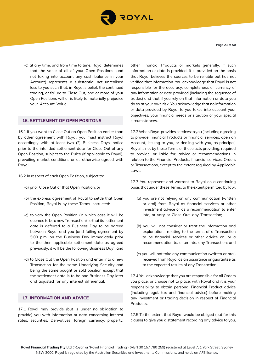

**Page 23 of 50**

(c) at any time, and from time to time, Royal determines that the value of all of your Open Positions (and not taking into account any cash balance in your Account) represents a substantial net unrealised loss to you such that, in Royal›s belief, the continued trading, or failure to Close Out, one or more of your Open Positions will or is likely to materially prejudice your Account Value.

#### **16. SETTLEMENT OF OPEN POSITONS**

16.1 If you want to Close Out an Open Position earlier than by other agreement with Royal, you must instruct Royal accordingly with at least two (2) Business Days' notice prior to the intended settlement date for Close Out of any Open Position, subject to the Rules (if applicable to Royal), prevailing market conditions or as otherwise agreed with Royal.

16.2 In respect of each Open Position, subject to:

- (a) prior Close Out of that Open Position; or
- (b) the express agreement of Royal to settle that Open Position, Royal is by these Terms instructed:
- (c) to vary the Open Position (in which case it will be deemed to be a new Transaction) so that its settlement date is deferred to a Business Day to be agreed between Royal and you (and failing agreement by 5:00 p.m. on the Business Day immediately prior to the then applicable settlement date as agreed previously, it will be the following Business Day); and
- (d) to Close Out the Open Position and enter into a new Transaction for the same Underlying Security and being the same bought or sold position except that the settlement date is to be one Business Day later and adjusted for any interest differential.

# **17. INFORMATION AND ADVICE**

17.1 Royal may provide (but is under no obligation to provide) you with information or data concerning interest rates, securities, Derivatives, foreign currency, property,

other Financial Products or markets generally. If such information or data is provided, it is provided on the basis that Royal believes the sources to be reliable but has not verified that information. You acknowledge that Royal is not responsible for the accuracy, completeness or currency of any information or data provided (including the sequence of trades) and that if you rely on that information or data you do so at your own risk. You acknowledge that no information or data provided by Royal to you takes into account your objectives, your financial needs or situation or your special circumstances.

17.2 When Royal provides services to you (including agreeing to provide Financial Products or financial services, open an Account, issuing to you, or dealing with you, as principal) Royal is not by these Terms or those acts providing, required to provide, or liable for, advice or recommendations in relation to the Financial Products, financial services, Orders or Transactions, except to the extent required by Applicable Laws.

17.3 You represent and warrant to Royal on a continuing basis that under these Terms, to the extent permitted by law:

- (a) you are not relying on any communication (written or oral) from Royal as financial services or other investment advice or as a recommendation to enter into, or vary or Close Out, any Transaction;
- (b) you will not consider or treat the information and explanations relating to the terms of a Transaction to be financial services or other advice on, or a recommendation to, enter into, any Transaction; and
- (c) you will not take any communication (written or oral) received from Royal as an assurance or guarantee as to the expected results of any Transaction.

17.4 You acknowledge that you are responsible for all Orders you place, or choose not to place, with Royal and it is your responsibility to obtain personal Financial Product advice (including legal, tax and financial advice) before making any investment or trading decision in respect of Financial Products.

17.5 To the extent that Royal would be obliged (but for this clause) to give you a statement recording any advice to you,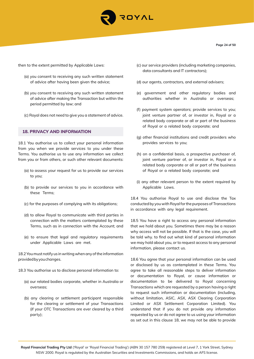

then to the extent permitted by Applicable Laws:

- (a) you consent to receiving any such written statement of advice after having been given the advice;
- (b) you consent to receiving any such written statement of advice after making the Transaction but within the period permitted by law; and
- (c) Royal does not need to give you a statement of advice.

#### **18. PRIVACY AND INFORMATION**

18.1 You authorise us to collect your personal information from you when we provide services to you under these Terms. You authorise us to use any information we collect from you or from others, or such other relevant documents:

- (a) to assess your request for us to provide our services to you;
- (b) to provide our services to you in accordance with these Terms;
- (c) for the purposes of complying with its obligations;
- (d) to allow Royal to communicate with third parties in connection with the matters contemplated by these Terms, such as in connection with the Account; and
- (e) to ensure that legal and regulatory requirements under Applicable Laws are met.

18.2 You must notify us in writing when any of the information provided by you changes.

- 18.3 You authorise us to disclose personal information to:
	- (a) our related bodies corporate, whether in Australia or overseas;
	- (b) any clearing or settlement participant responsible for the clearing or settlement of your Transactions (if your OTC Transactions are ever cleared by a third party);
- (c) our service providers (including marketing companies, data consultants and IT contractors);
- (d) our agents, contractors, and external advisers;
- (e) government and other regulatory bodies and authorities whether in Australia or overseas;
- (f) payment system operators; provide services to you; joint venture partner of, or investor in, Royal or a related body corporate or all or part of the business of Royal or a related body corporate; and
- (g) other financial institutions and credit providers who provides services to you;
- (h) on a confidential basis, a prospective purchaser of, joint venture partner of, or investor in, Royal or a related body corporate or all or part of the business of Royal or a related body corporate; and
- (i) any other relevant person to the extent required by Applicable Laws.

18.4 You authorise Royal to use and disclose the Tax conducted by you with Royal for the purposes of Transactions in accordance with any legal requirement.

18.5 You have a right to access any personal information that we hold about you. Sometimes there may be a reason why access will not be possible. If that is the case, you will be told why. to find out what kind of personal information we may hold about you, or to request access to any personal information, please contact us.

18.6 You agree that your personal information can be used or disclosed by us as contemplated in these Terms. You agree to take all reasonable steps to deliver information or documentation to Royal, or cause information or documentation to be delivered to Royal concerning Transactions which are requested by a person having a right to request such information or documentation (including, without limitation, ASIC, ASX, ASX Clearing Corporation Limited or ASX Settlement Corporation Limited). You understand that if you do not provide any information requested by us or do not agree to us using your information as set out in this clause 18, we may not be able to provide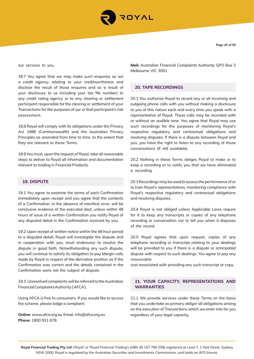

our services to you.

18.7 You agree that we may make such enquiries as we a credit agency, relating to your creditworthiness and disclose the result of those enquires and as a result of your disclosure to us including your tax file number) to any credit rating agency or to any clearing or settlement participant responsible for the clearing or settlement of your Transactions for the purposes of our or that participant's risk assessment.

18.8 Royal will comply with its obligations under the Privacy Act 1988 (Commonwealth) and the Australian Privacy Principles as amended from time to time, to the extent that they are relevant to these Terms.

18.9 You must, upon the request of Royal, take all reasonable steps to deliver to Royal all information and documentation relevant to trading in Financial Products.

# **19. DISPUTE**

19.1 You agree to examine the terms of each Confirmation immediately upon receipt and you agree that the contents of a Confirmation, in the absence of manifest error, will be conclusive evidence of the executed deal, unless within 48 hours of issue of a written Confirmation you notify Royal of any disputed detail in the Confirmation received by you,

19.2 Upon receipt of written notice within the 48 hour period to a disputed detail, Royal will investigate the dispute and in cooperation with you, must endeavour to resolve the dispute in good faith. Notwithstanding any such dispute, you will continue to satisfy its obligation to pay Margin calls made by Royal in respect of the derivative position as if the Confirmation was correct and the details contained in the Confirmation were not the subject of dispute.

19.3. Unresolved complaints will be referred to the Australian Financial Complaints Authority ('AFCA').

Using AFCA is free to consumers. If you would like to access the scheme, please lodge a complaint:

**Online:** www.afca.org.au Email: info@afca.org.au **Phone**: 1800 931 678

**Mail:** Australian Financial Complaints Authority GPO Box 3 Melbourne VIC 3001

#### **20. TAPE RECORDINGS**

20.1 You authorise Royal to record any or all incoming and outgoing phone calls with you without making a disclosure to you of this nature each and every time you speak with a representative of Royal. These calls may be recorded with or without an audible tone. You agree that Royal may use such recordings for the purposes of monitoring Royal's respective regulatory and contractual obligations and resolving disputes. If there is a dispute between Royal and you, you have the right to listen to any recording of those conversations (if still available).

20.2 Nothing in these Terms obliges Royal to make or to keep a recording or to notify you that we have eliminated a recording.

20.3 Recordings may be used to assess the performance of or to train Royal's representatives, monitoring compliance with Royal's respective regulatory and contractual obligations and resolving disputes.

20.4 Royal is not obliged unless Applicable Laws require for it to keep any transcripts or copies of any telephone recording or conversation nor to tell you when it disposes of the record.

20.5 Royal agrees that upon request, copies of any telephone recording or transcript relating to your dealings will be provided to you if there is a dispute or anticipated dispute with respect to such dealings. You agree to pay any reasonable

cost associated with providing any such transcript or copy.

# **21. YOUR CAPACITY, REPRESENTATIONS AND WARRANTIES**

21.1 We provide services under these Terms on the basis that you undertake as primary obligor all obligations arising on the execution of Transactions which we enter into for you regardless of your legal capacity.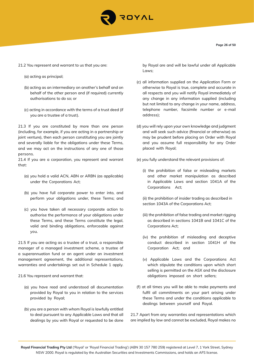

- 21.2 You represent and warrant to us that you are:
	- (a) acting as principal;
	- (b) acting as an intermediary on another's behalf and on behalf of the other person and (if required) currently authorisations to do so; or
	- (c) acting in accordance with the terms of a trust deed (if you are a trustee of a trust).

21.3 If you are constituted by more than one person (including, for example, if you are acting in a partnership or joint venture), then each person constituting you are jointly and severally liable for the obligations under these Terms, and we may act on the instructions of any one of those persons.

21.4 If you are a corporation, you represent and warrant that:

- (a) you hold a valid ACN, ABN or ARBN (as applicable) under the Corporations Act;
- (b) you have full corporate power to enter into, and perform your obligations under, these Terms; and
- (c) you have taken all necessary corporate action to authorise the performance of your obligations under these Terms, and these Terms constitute the legal, valid and binding obligations, enforceable against you.

21.5 If you are acting as a trustee of a trust, a responsible manager of a managed investment scheme, a trustee of a superannuation fund or an agent under an investment management agreement, the additional representations, warranties and undertakings set out in Schedule 1 apply.

- 21.6 You represent and warrant that:
	- (a) you have read and understood all documentation provided by Royal to you in relation to the services provided by Royal;
	- (b) you are a person with whom Royal is lawfully entitled to deal pursuant to any Applicable Laws and that all dealings by you with Royal or requested to be done

by Royal are and will be lawful under all Applicable Laws;

- (c) all information supplied on the Application Form or otherwise to Royal is true, complete and accurate in all respects and you will notify Royal immediately of any change in any information supplied (including but not limited to any change in your name, address, telephone number, facsimile number or e-mail address);
- (d) you will rely upon your own knowledge and judgment and will seek such advice (financial or otherwise) as may be prudent before placing an Order with Royal and you assume full responsibility for any Order placed with Royal;

(e) you fully understand the relevant provisions of:

(i) the prohibition of false or misleading markets and other market manipulation as described in Applicable Laws and section 1041A of the Corporations Act;

(ii) the prohibition of insider trading as described in section 1043A of the Corporations Act;

- (iii) the prohibition of false trading and market rigging as described in sections 1041B and 1041C of the Corporations Act;
- (iv) the prohibition of misleading and deceptive conduct described in section 1041H of the Corporation Act; and
- (v) Applicable Laws and the Corporations Act which stipulate the conditions upon which short selling is permitted on the ASX and the disclosure obligations imposed on short sellers;
- (f) at all times you will be able to make payments and fulfil all commitments on your part arising under these Terms and under the conditions applicable to dealings between yourself and Royal.

21.7 Apart from any warranties and representations which are implied by law and cannot be excluded, Royal makes no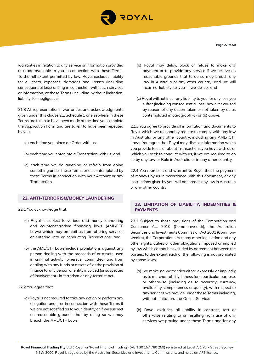

**Page 27 of 50**

warranties in relation to any service or information provided or made available to you in connection with these Terms. To the full extent permitted by law, Royal excludes liability for all costs, expenses, damages and Losses (including consequential loss) arising in connection with such services or information, or these Terms (including, without limitation, liability for negligence).

21.8 All representations, warranties and acknowledgments given under this clause 21, Schedule 1 or elsewhere in these Terms are taken to have been made at the time you complete the Application Form and are taken to have been repeated by you:

- (a) each time you place an Order with us;
- (b) each time you enter into a Transaction with us; and
- (c) each time we do anything or refrain from doing something under these Terms or as contemplated by these Terms in connection with your Account or any Transaction.

# **22. ANTI-TERRORISM/MONEY LAUNDERING**

22.1 You acknowledge that:

- (a) Royal is subject to various anti-money laundering and counter-terrorism financing laws (AML/CTF Laws) which may prohibit us from offering services or entering into or conducting Transactions; and
- (b) the AML/CTF Laws include prohibitions against any person dealing with the proceeds of or assets used in criminal activity (wherever committed) and from dealing with any funds or assets of, or the provision of finance to, any person or entity involved (or suspected of involvement) in terrorism or any terrorist act.
- 22.2 You agree that:
	- (a) Royal is not required to take any action or perform any obligation under or in connection with these Terms if we are not satisfied as to your identity or if we suspect on reasonable grounds that by doing so we may breach the AML/CTF Laws;
- (b) Royal may delay, block or refuse to make any payment or to provide any service if we believe on reasonable grounds that to do so may breach any law in Australia or any other country, and we will incur no liability to you if we do so; and
- (c) Royal will not incur any liability to you for any loss you suffer (including consequential loss) however caused by reason of any action taken or not taken by us as contemplated in paragraph (a) or (b) above.

22.3 You agree to provide all information and documents to Royal which we reasonably require to comply with any law in Australia or any other country, including any AML/ CTF Laws. You agree that Royal may disclose information which you provide to us, or about Transactions you have with us or which you seek to conduct with us, if we are required to do so by any law or Rule in Australia or in any other country.

22.4 You represent and warrant to Royal that the payment of moneys by us in accordance with this document, or any instructions given by you, will not breach any law in Australia or any other country.

# **23. LIMITATION OF LIABILITY, INDEMNITIES & PAYMENTS**

23.1 Subject to those provisions of the Competition and Consumer Act 2010 (Commonwealth), the Australian Securities and Investments Commission Act 2001 (Commonwealth), the Corporations Act, any other legislation and any other rights, duties or other obligations imposed or implied by law which cannot be excluded by agreement between the parties, to the extent each of the following is not prohibited by those laws:

- (a) we make no warranties either expressly or impliedly as to merchantability, fitness for a particular purpose, or otherwise (including as to accuracy, currency, availability, completeness or quality), with respect to any services we provide under these Terms including, without limitation, the Online Service;
- (b) Royal excludes all liability in contract, tort or otherwise relating to or resulting from use of any services we provide under these Terms and for any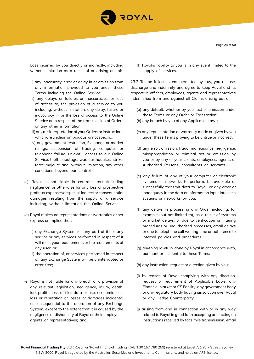

Loss incurred by you directly or indirectly, including without limitation as a result of or arising out of:

- (i) any inaccuracy, error or delay in or omission from any information provided to you under these Terms including the Online Service;
- (ii) any delays or failures or inaccuracies, or loss of access to, the provision of a service to you including, without limitation, any delay, failure or inaccuracy in, or the loss of access to, the Online Service or in respect of the transmission of Orders or any other information;
- (iii) any misinterpretation of your Orders or instructions which are unclear, ambiguous, or not specific;
- (iv) any government restriction, Exchange or market rulings, suspension of trading, computer or telephone failure, unlawful access to our Online Service, theft, sabotage, war, earthquakes, strike, force majeure and, without limitation, any other conditions beyond our control;
- (c) Royal is not liable in contract, tort (including negligence) or otherwise for any loss of prospective profits or expenses or special, indirect or consequential damages resulting from the supply of a service including, without limitation the Online Service;
- (d) Royal makes no representations or warranties either express or implied that:
	- (i) any Exchange System (or any part of it) or any service or any services performed in respect of it will meet your requirements or the requirements of any user; or
	- (ii) the operation of, or services performed in respect of, any Exchange System will be uninterrupted or error-free;
- (e) Royal is not liable for any breach of a provision of any relevant legislation, negligence, injury, death, lost profits, loss of files data or use, economic loss, loss or reputation or losses or damages incidental or consequential to the operation of any Exchange System, except to the extent that it is caused by the negligence or dishonesty of Royal or their employees, agents or representatives; and

(f) Royal›s liability to you is in any event limited to the supply of services.

23.2 To the fullest extent permitted by law, you release, discharge and indemnify and agree to keep Royal and its respective officers, employees, agents and representatives indemnified from and against all Claims arising out of:

- (a) any default, whether by your act or omission under these Terms or any Order or Transaction;
- (b) any breach by you of any Applicable Laws;
- (c) any representation or warranty made or given by you under these Terms proving to be untrue or incorrect;
- (d) any error, omission, fraud, malfeasance, negligence, misappropriation or criminal act or omission by you or by any of your clients, employees, agents or Authorised Persons, consultants or servants;
- (e) any failure of any of your computer or electronic systems or networks to perform, be available or successfully transmit data to Royal, or any error or inadequacy in the data or information input into such systems or networks by you;
- (f) any delays in processing any Order including, for example (but not limited to), as a result of systems or market delays, or due to verification or filtering procedures or unauthorised processes, email delays or due to telephone call waiting time or adherence to internal policies and procedures;
- (g) anything lawfully done by Royal in accordance with, pursuant or incidental to these Terms;
- (h) any instruction, request or direction given by you;
- (i) by reason of Royal complying with any direction, request or requirement of Applicable Laws, any Financial Market or CS Facility, any government body or any regulatory body having jurisdiction over Royal or any Hedge Counterparty;
- (j) arising from and in connection with or in any way related to Royal in good faith accepting and acting on instructions received by facsimile transmission, email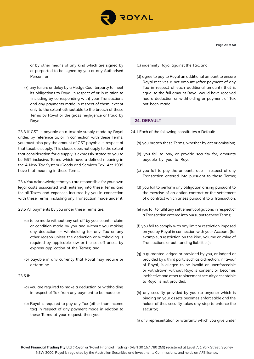

or by other means of any kind which are signed by or purported to be signed by you or any Authorised Person; or

(k) any failure or delay by a Hedge Counterparty to meet its obligations to Royal in respect of or in relation to (including by corresponding with) your Transactions and any payments made in respect of them, except only to the extent attributable to the breach of these Terms by Royal or the gross negligence or fraud by Royal.

23.3 If GST is payable on a taxable supply made by Royal under, by reference to, or in connection with these Terms, you must also pay the amount of GST payable in respect of that taxable supply. This clause does not apply to the extent that consideration for a supply is expressly stated to you to be GST inclusive. Terms which have a defined meaning in the A New Tax System (Goods and Services Tax) Act 1999 have that meaning in these Terms.

23.4 You acknowledge that you are responsible for your own legal costs associated with entering into these Terms and for all Taxes and expenses incurred by you in connection with these Terms, including any Transaction made under it.

23.5 All payments by you under these Terms are:

- (a) to be made without any set-off by you, counter claim or condition made by you and without you making any deduction or withholding for any Tax or any other reason unless the deduction or withholding is required by applicable law or the set-off arises by express application of the Terms; and
- (b) payable in any currency that Royal may require or determine.

## 23.6 If:

- (a) you are required to make a deduction or withholding in respect of Tax from any payment to be made; or
- (b) Royal is required to pay any Tax (other than income tax) in respect of any payment made in relation to these Terms at your request, then you:

(c) indemnify Royal against the Tax; and

(d) agree to pay to Royal an additional amount to ensure Royal receives a net amount (after payment of any Tax in respect of each additional amount) that is equal to the full amount Royal would have received had a deduction or withholding or payment of Tax not been made.

# **24. DEFAULT**

- 24.1 Each of the following constitutes a Default:
	- (a) you breach these Terms, whether by act or omission;
	- (b) you fail to pay, or provide security for, amounts payable by you to Royal;
	- (c) you fail to pay the amounts due in respect of any Transaction entered into pursuant to these Terms;
	- (d) you fail to perform any obligation arising pursuant to the exercise of an option contract or the settlement of a contract which arises pursuant to a Transaction;
	- (e) you fail to fulfil any settlement obligations in respect of a Transaction entered into pursuant to these Terms;
	- (f) you fail to comply with any limit or restriction imposed on you by Royal in connection with your Account (for example, a restriction on the kind, volume or value of Transactions or outstanding liabilities);
	- (g) a guarantee lodged or provided by you, or lodged or provided by a third party such as a direction, in favour of Royal, is alleged to be invalid or unenforceable or withdrawn without Royal›s consent or becomes ineffective and other replacement security acceptable to Royal is not provided;
	- (h) any security provided by you (to anyone) which is binding on your assets becomes enforceable and the holder of that security takes any step to enforce the security;

(i) any representation or warranty which you give under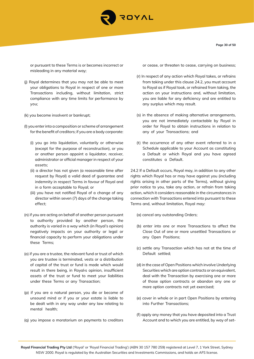

**Page 30 of 50**

or pursuant to these Terms is or becomes incorrect or misleading in any material way;

- (j) Royal determines that you may not be able to meet your obligations to Royal in respect of one or more Transactions including, without limitation, strict compliance with any time limits for performance by you;
- (k) you become insolvent or bankrupt;
- (l) you enter into a composition or scheme of arrangement for the benefit of creditors; if you are a body corporate:
	- (i) you go into liquidation, voluntarily or otherwise (except for the purpose of reconstruction), or you or another person appoint a liquidator, receiver, administrator or official manager in respect of your assets;
	- (ii) a director has not given (a reasonable time after request by Royal) a valid deed of guarantee and indemnity in respect Terms in favour of Royal and in a form acceptable to Royal; or
	- (iii) you have not notified Royal of a change of any director within seven (7) days of the change taking effect;
- (n) if you are acting on behalf of another person pursuant to authority provided by another person, the authority is varied in a way which (in Royal's opinion) negatively impacts on your authority or legal or financial capacity to perform your obligations under these Terms;
- (o) if you are a trustee, the relevant fund or trust of which you are trustee is terminated, vests or a distribution of capital of the trust or fund is made which would result in there being, in Royal›s opinion, insufficient assets of the trust or fund to meet your liabilities under these Terms or any Transaction;
- (p) if you are a natural person, you die or become of unsound mind or if you or your estate is liable to be dealt with in any way under any law relating to mental health;
- (q) you impose a moratorium on payments to creditors

or cease, or threaten to cease, carrying on business;

- (r) In respect of any action which Royal takes, or refrains from taking under this clause 24.2, you must account to Royal as if Royal took, or refrained from taking, the action on your instructions and, without limitation, you are liable for any deficiency and are entitled to any surplus which may result.
- (s) in the absence of making alternative arrangements, you are not immediately contactable by Royal in order for Royal to obtain instructions in relation to any of your Transactions; and
- (t) the occurrence of any other event referred to in a Schedule applicable to your Account as constituting a Default or which Royal and you have agreed constitutes a Default.

24.2 If a Default occurs, Royal may, in addition to any other rights which Royal has or may have against you (including rights arising in other parts of the Terms), without giving prior notice to you, take any action, or refrain from taking action, which it considers reasonable in the circumstances in connection with Transactions entered into pursuant to these Terms and, without limitation, Royal may:

- (a) cancel any outstanding Orders;
- (b) enter into one or more Transactions to affect the Close Out of one or more unsettled Transactions or any Open Positions;
- (c) settle any Transaction which has not at the time of Default settled;
- (d) in the case of Open Positions which involve Underlying Securities which are option contracts or an equivalent, deal with the Transaction by exercising one or more of those option contracts or abandon any one or more option contracts not yet exercised;
- (e) cover in whole or in part Open Positions by entering into Further Transactions;
- (f) apply any money that you have deposited into a Trust Account and to which you are entitled, by way of set-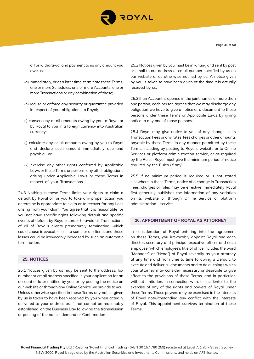

off or withdrawal and payment to us any amount you owe us;

- (g) immediately, or at a later time, terminate these Terms, one or more Schedules, one or more Accounts, one or more Transactions or any combination of these;
- (h) realise or enforce any security or guarantee provided in respect of your obligations to Royal;
- (i) convert any or all amounts owing by you to Royal or by Royal to you in a foreign currency into Australian currency;
- (j) calculate any or all amounts owing by you to Royal and declare such amount immediately due and payable; or
- (k) exercise any other rights conferred by Applicable Laws or these Terms or perform any other obligations arising under Applicable Laws or these Terms in respect of your Transactions.

24.3 Nothing in these Terms limits your rights to claim a default by Royal or for you to take any proper action you determine is appropriate to claim or to recover for any Loss arising from your claim. You agree that it is reasonable for you not have specific rights following default and specific events of default by Royal in order to avoid all Transactions of all of Royal's clients prematurely terminating, which could cause irrevocable loss to some or all clients and those losses could be irrevocably increased by such an automatic termination.

# **25. NOTICES**

25.1 Notices given by us may be sent to the address, fax number or email address specified in your application for an account or later notified by you, or by posting the notice on our website or through any Online Service we provide to you. Unless otherwise specified in these Terms any notice given by us is taken to have been received by you when actually delivered to your address or, if that cannot be reasonably established, on the Business Day following the transmission or posting of the notice, demand or Confirmation

25.2 Notices given by you must be in writing and sent by post or email to our address or email number specified by us on our website or as otherwise notified by us. A notice given by you is taken to have been given at the time it is actually received by us.

25.3 If an Account is opened in the joint names of more than one person, each person agrees that we may discharge any obligation we have to give a notice or a document to those persons under these Terms or Applicable Laws by giving notice to any one of those persons.

25.4 Royal may give notice to you of any change in its Transaction Fees or any rates, fees charges or other amounts payable by these Terms in any manner permitted by these Terms, including by posting to Royal's website or to Online Services or platform administration service, or as required by the Rules. Royal must give the minimum period of notice required by the Rules (if any).

25.5 If no minimum period is required or is not stated elsewhere in these Terms, notice of a change in Transaction Fees, charges or roles may be effective immediately Royal first generally publishes the information of any variation on its website or through Online Service or platform administration service.

#### **26. APPOINTMENT OF ROYAL AS ATTORNEY**

In consideration of Royal entering into the agreement on these Terms, you irrevocably appoint Royal and each director, secretary and principal executive officer and each employee (which employee's title of office includes the word "Manager" or "Head") of Royal severally as your attorney at any time and from time to time following a Default, to execute and deliver all documents and to do all things which your attorney may consider necessary or desirable to give effect to the provisions of these Terms, and in particular, without limitation, in connection with, or incidental to, the exercise of any of the rights and powers of Royal under these Terms. Those powers may be exercised in the interests of Royal notwithstanding any conflict with the interests of Royal. This appointment survives termination of these Terms.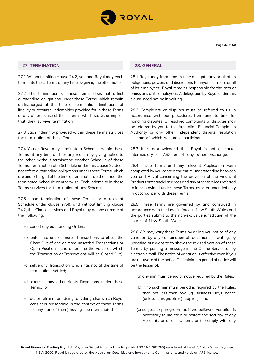

# **27. TERMINATION**

27.1 Without limiting clause 24.2, you and Royal may each terminate these Terms at any time by giving the other notice.

27.2 The termination of these Terms does not affect outstanding obligations under these Terms which remain undischarged at the time of termination, limitations of liability or recourse, indemnities provided for in these Terms or any other clause of these Terms which states or implies that they survive termination.

27.3 Each indemnity provided within these Terms survives the termination of these Terms.

27.4 You or Royal may terminate a Schedule within these Terms at any time and for any reason by giving notice to the other, without terminating another Schedule of these Terms. Termination of a Schedule under this clause 27 does not affect outstanding obligations under these Terms which are undischarged at the time of termination, either under the terminated Schedule or otherwise. Each indemnity in these Terms survives the termination of any Schedule.

27.5 Upon termination of these Terms (or a relevant Schedule under clause 27.4), and without limiting clause 24.2, this Clause survives and Royal may do one or more of the following:

- (a) cancel any outstanding Orders;
- (b) enter into one or more Transactions to effect the Close Out of one or more unsettled Transactions or Open Positions (and determine the value at which the Transaction or Transactions will be Closed Out);
- (c) settle any Transaction which has not at the time of termination settled;
- (d) exercise any other rights Royal has under these Terms; or
- (e) do, or refrain from doing, anything else which Royal considers reasonable in the context of these Terms (or any part of them) having been terminated.

# **28. GENERAL**

28.1 Royal may from time to time delegate any or all of its obligations, powers and discretions to anyone or more or all of its employees. Royal remains responsible for the acts or omissions of its employees. A delegation by Royal under this clause need not be in writing.

28.2 Complaints or disputes must be referred to us in accordance with our procedures from time to time for handling disputes. Unresolved complaints or disputes may be referred by you to the Australian Financial Complaints Authority or any other independent dispute resolution scheme of which we are a participant.

28.3 It is acknowledged that Royal is not a market intermediary of ASX or of any other Exchange.

28.4 These Terms and any relevant Application Form completed by you contain the entire understanding between you and Royal concerning the provision of the Financial Products or financial services and any other services referred to in or provided under these Terms, as later amended only in accordance with these Terms.

28.5 These Terms are governed by and construed in accordance with the laws in force in New South Wales and the parties submit to the non-exclusive jurisdiction of the courts of New South Wales.

28.6 We may vary these Terms by giving you notice of any variation by any combination of: document in writing, by updating our website to show the revised version of these Terms, by posting a message in the Online Service or by electronic mail. The notice of variation is effective even if you are unaware of the notice. The minimum period of notice will be the lesser of:

- (a) any minimum period of notice required by the Rules;
- (b) if no such minimum period is required by the Rules, then not less than two (2) Business Days' notice (unless paragraph (c) applies); and
- (c) subject to paragraph (a), if we believe a variation is necessary to maintain or restore the security of any Accounts or of our systems or to comply with any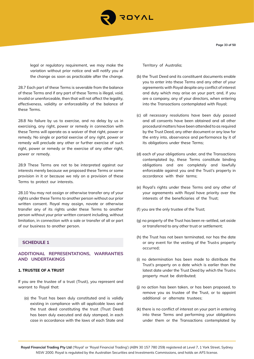

**Page 33 of 50**

legal or regulatory requirement, we may make the variation without prior notice and will notify you of the change as soon as practicable after the change.

28.7 Each part of these Terms is severable from the balance of these Terms and if any part of these Terms is illegal, void, invalid or unenforceable, then that will not affect the legality, effectiveness, validity or enforceability of the balance of these Terms.

28.8 No failure by us to exercise, and no delay by us in exercising, any right, power or remedy in connection with these Terms will operate as a waiver of that right, power or remedy. No single or partial exercise of any right, power or remedy will preclude any other or further exercise of such right, power or remedy or the exercise of any other right, power or remedy.

28.9 These Terms are not to be interpreted against our interests merely because we proposed these Terms or some provision in it or because we rely on a provision of these Terms to protect our interests.

28.10 You may not assign or otherwise transfer any of your rights under these Terms to another person without our prior written consent. Royal may assign, novate or otherwise transfer any of its rights under these Terms to another person without your prior written consent including, without limitation, in connection with a sale or transfer of all or part of our business to another person.

# **SCHEDULE 1**

# **ADDITIONAL REPRESENTATIONS, WARRANTIES AND UNDERTAKINGS**

## **1. TRUSTEE OF A TRUST**

If you are the trustee of a trust (Trust), you represent and warrant to Royal that:

(a) the Trust has been duly constituted and is validly existing in compliance with all applicable laws and the trust deed constituting the trust (Trust Deed) has been duly executed and duly stamped, in each case in accordance with the laws of each State and

Territory of Australia;

- (b) the Trust Deed and its constituent documents enable you to enter into these Terms and any other of your agreements with Royal despite any conflict of interest and duty which may arise on your part; and, if you are a company, any of your directors, when entering into the Transactions contemplated with Royal;
- (c) all necessary resolutions have been duly passed and all consents have been obtained and all other procedural matters have been attended to as required by the Trust Deed, any other document or any law for the entry into, observance and performance by it of its obligations under these Terms;
- (d) each of your obligations under, and the Transactions contemplated by, these Terms constitute binding obligations and are completely and lawfully enforceable against you and the Trust's property in accordance with their terms;
- (e) Royal's rights under these Terms and any other of your agreements with Royal have priority over the interests of the beneficiaries of the Trust;
- (f) you are the only trustee of the Trust;
- (g) no property of the Trust has been re-settled, set aside or transferred to any other trust or settlement;
- (h) the Trust has not been terminated, nor has the date or any event for the vesting of the Trust›s property occurred;
- (i) no determination has been made to distribute the Trust's property on a date which is earlier than the latest date under the Trust Deed by which the Trust›s property must be distributed;
- (j) no action has been taken, or has been proposed, to remove you as trustee of the Trust, or to appoint additional or alternate trustees;
- (k) there is no conflict of interest on your part in entering into these Terms and performing your obligations under them or the Transactions contemplated by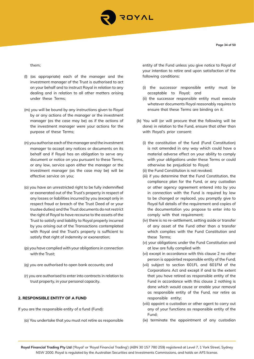

them;

- (l) (as appropriate) each of the manager and the investment manager of the Trust is authorised to act on your behalf and to instruct Royal in relation to any dealing and in relation to all other matters arising under these Terms;
- (m) you will be bound by any instructions given to Royal by or any actions of the manager or the investment manager (as the case may be) as if the actions of the investment manager were your actions for the purpose of these Terms;
- (n) you authorise each of the manager and the investment manager to accept any notices or documents on its behalf and if Royal has an obligation to serve any document or notice on you pursuant to these Terms, or any law, service upon either the manager or the investment manager (as the case may be) will be effective service on you;
- (o) you have an unrestricted right to be fully indemnified or exonerated out of the Trust's property in respect of any losses or liabilities incurred by you (except only in respect fraud or breach of the Trust Deed of or your trustee duties) and the Trust documents do not restrict the right of Royal to have recourse to the assets of the Trust to satisfy and liability to Royal properly incurred by you arising out of the Transactions contemplated with Royal and the Trust's property is sufficient to satisfy that right of indemnity or exoneration;
- (p) you have complied with your obligations in connection with the Trust;
- (q) you are authorised to open bank accounts; and
- (r) you are authorised to enter into contracts in relation to trust property, in your personal capacity.

# **2. RESPONSIBLE ENTITY OF A FUND**

If you are the responsible entity of a fund (Fund):

(a) You undertake that you must not retire as responsible

entity of the Fund unless you give notice to Royal of your intention to retire and upon satisfaction of the following conditions:

- (i) the successor responsible entity must be acceptable to Royal; and
- (ii) the successor responsible entity must execute whatever documents Royal reasonably requires to ensure that these Terms are binding on it.
- (b) You will (or will procure that the following will be done) in relation to the Fund, ensure that other than with Royal's prior consent:
	- (i) the constitution of the fund (Fund Constitution) is not amended in any way which could have a material adverse effect on your ability to comply with your obligations under these Terms or could otherwise be prejudicial to Royal;
	- (ii) the Fund Constitution is not revoked;
	- (iii) if you determine that the Fund Constitution, the compliance plan for the Fund, or any custodian or other agency agreement entered into by you in connection with the Fund is required by law to be changed or replaced, you promptly give to Royal full details of the requirement and copies of the documentation you propose to enter into to comply with that requirement;
	- (iv) there is no re-settlement, setting aside or transfer of any asset of the Fund other than a transfer which complies with the Fund Constitution and these Terms;
	- (v) your obligations under the Fund Constitution and at law are fully complied with
	- (vi) except in accordance with this clause 2 no other person is appointed responsible entity of the Fund;
	- (vii) subject to section 601FL and 601FM of the Corporations Act and except if and to the extent that you have retired as responsible entity of the Fund in accordance with this clause 2 nothing is done which would cause or enable your removal as responsible entity of the Fund, nor retire as responsible entity;
	- (viii) appoint a custodian or other agent to carry out any of your functions as responsible entity of the Fund;
	- (ix) terminate the appointment of any custodian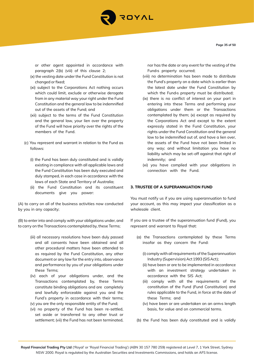

**Page 35 of 50**

or other agent appointed in accordance with paragraph 2(b) (viii) of this clause 2;

- (x) the vesting date under the Fund Constitution is not changed or fixed;
- (xi) subject to the Corporations Act nothing occurs which could limit, exclude or otherwise derogate from in any material way your right under the Fund Constitution and the general law to be indemnified out of the assets of the Fund; and
- (xii) subject to the terms of the Fund Constitution and the general law, your lien over the property of the Fund will have priority over the rights of the members of the Fund.
- (c) You represent and warrant in relation to the Fund as follows:
	- (i) the Fund has been duly constituted and is validly existing in compliance with all applicable laws and the Fund Constitution has been duly executed and duly stamped, in each case in accordance with the laws of each State and Territory of Australia;
	- (ii) the Fund Constitution and its constituent documents give you power:

(A) to carry on all of the business activities now conducted by you in any capacity;

(B) to enter into and comply with your obligations under, and to carry on the Transactions contemplated by, these Terms;

- (iii) all necessary resolutions have been duly passed and all consents have been obtained and all other procedural matters have been attended to as required by the Fund Constitution, any other document or any law for the entry into, observance and performance by you of your obligations under these Terms;
- (iv) each of your obligations under, and the Transactions contemplated by, these Terms constitute binding obligations and are completely and lawfully enforceable against you and the Fund's property in accordance with their terms; (v) you are the only responsible entity of the Fund;
- (vi) no property of the Fund has been re-settled, set aside or transferred to any other trust or settlement; (vii) the Fund has not been terminated,

nor has the date or any event for the vesting of the Fund›s property occurred;

- (viii) no determination has been made to distribute the Fund's property on a date which is earlier than the latest date under the Fund Constitution by which the Fund›s property must be distributed;
- (ix) there is no conflict of interest on your part in entering into these Terms and performing your obligations under them or the Transactions contemplated by them; (x) except as required by the Corporations Act and except to the extent expressly stated in the Fund Constitution, your rights under the Fund Constitution and the general law to be indemnified out of, and have a lien over, the assets of the Fund have not been limited in any way; and without limitation you have no liability which may be set-off against that right of indemnity; and
- (xi) you have complied with your obligations in connection with the Fund.

#### **3. TRUSTEE OF A SUPERANNUATION FUND**

You must notify us if you are using superannuation to fund your account, as this may impact your classification as a wholesale client.

If you are a trustee of the superannuation fund (Fund), you represent and warrant to Royal that:

- (a) the Transactions contemplated by these Terms insofar as they concern the Fund:
	- (i) comply with all requirements of the Superannuation Industry (Supervision) Act 1993 (SIS Act);
	- (ii) have been or are to be implemented in accordance with an investment strategy undertaken in accordance with the SIS Act;
	- (iii) comply with all the requirements of the constitution of the Fund (Fund Constitution) and rules applicable to the Fund, in force at the date of these Terms; and
	- (iv) have been or are undertaken on an arm›s length basis, for value and on commercial terms.

(b) the Fund has been duly constituted and is validly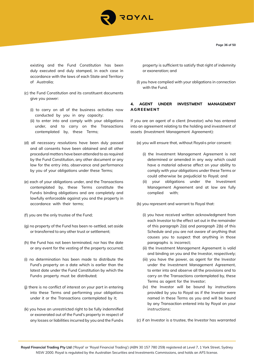

existing and the Fund Constitution has been duly executed and duly stamped, in each case in accordance with the laws of each State and Territory of Australia;

- (c) the Fund Constitution and its constituent documents give you power:
	- (i) to carry on all of the business activities now conducted by you in any capacity;
	- (ii) to enter into and comply with your obligations under, and to carry on the Transactions contemplated by, these Terms;
- (d) all necessary resolutions have been duly passed and all consents have been obtained and all other procedural matters have been attended to as required by the Fund Constitution, any other document or any law for the entry into, observance and performance by you of your obligations under these Terms;
- (e) each of your obligations under, and the Transactions contemplated by, these Terms constitute the Fund›s binding obligations and are completely and lawfully enforceable against you and the property in accordance with their terms;
- (f) you are the only trustee of the Fund;
- (g) no property of the Fund has been re-settled, set aside or transferred to any other trust or settlement;
- (h) the Fund has not been terminated, nor has the date or any event for the vesting of the property occurred;
- (i) no determination has been made to distribute the Fund's property on a date which is earlier than the latest date under the Fund Constitution by which the Fund›s property must be distributed;
- (j) there is no conflict of interest on your part in entering into these Terms and performing your obligations under it or the Transactions contemplated by it;
- (k) you have an unrestricted right to be fully indemnified or exonerated out of the Fund's property in respect of any losses or liabilities incurred by you and the Fund›s

property is sufficient to satisfy that right of indemnity or exoneration; and

(l) you have complied with your obligations in connection with the Fund.

# **4. AGENT UNDER INVESTMENT MANAGEMENT AGREEMENT**

If you are an agent of a client (Investor) who has entered into an agreement relating to the holding and investment of assets (Investment Management Agreement):

- (a) you will ensure that, without Royal›s prior consent:
	- (i) the Investment Management Agreement is not determined or amended in any way which could have a material adverse affect on your ability to comply with your obligations under these Terms or could otherwise be prejudicial to Royal; and
	- (ii) your obligations under the Investment Management Agreement and at law are fully complied with;
- (b) you represent and warrant to Royal that:
	- (i) you have received written acknowledgment from each Investor to the effect set out in the remainder of this paragraph 2(a) and paragraph 2(b) of this Schedule and you are not aware of anything that causes you to suspect that anything in those paragraphs is incorrect;
	- (ii) the Investment Management Agreement is valid and binding on you and the Investor, respectively;
	- (iii) you have the power, as agent for the Investor under the Investment Management Agreement, to enter into and observe all the provisions and to carry on the Transactions contemplated by, these Terms as agent for the Investor;
	- (iv) the Investor will be bound by instructions provided by you to Royal as if the Investor were named in these Terms as you and will be bound by any Transaction entered into by Royal on your instructions;

(c) if an Investor is a trustee, the Investor has warranted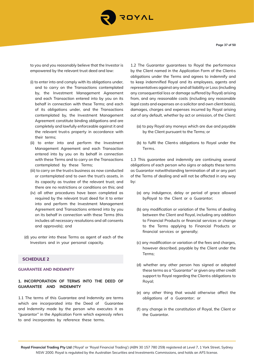

**Page 37 of 50**

to you and you reasonably believe that the Investor is empowered by the relevant trust deed and law:

- (i) to enter into and comply with its obligations under, and to carry on the Transactions contemplated by, the Investment Management Agreement and each Transaction entered into by you on its behalf in connection with these Terms; and each of its obligations under, and the Transactions contemplated by, the Investment Management Agreement constitute binding obligations and are completely and lawfully enforceable against it and the relevant trust›s property in accordance with their terms;
- (ii) to enter into and perform the Investment Management Agreement and each Transaction entered into by you on its behalf in connection with these Terms and to carry on the Transactions contemplated by these Terms;
- (iii) to carry on the trust›s business as now conducted or contemplated and to own the trust's assets, in its capacity as trustee of the relevant trust; and there are no restrictions or conditions on this; and
- (iv) all other procedures have been completed as required by the relevant trust deed for it to enter into and perform the Investment Management Agreement and Transactions entered into by you on its behalf in connection with these Terms (this includes all necessary resolutions and all consents and approvals); and
- (d) you enter into these Terms as agent of each of the Investors and in your personal capacity.

# **SCHEDULE 2**

## **GUARANTEE AND INDEMNITY**

## **1. INCORPORATION OF TERMS INTO THE DEED OF GUARANTEE AND INDEMNITY**

1.1 The terms of this Guarantee and Indemnity are terms which are incorporated into the Deed of Guarantee and Indemnity made by the person who executes it as "guarantor" in the Application Form which expressly refers to and incorporates by reference these terms.

1.2 The Guarantor guarantees to Royal the performance by the Client named in the Application Form of the Client's obligations under the Terms and agrees to indemnify and to keep indemnified Royal and its employees, agents and representatives against any and all liability or Loss (including any consequential loss or damage suffered by Royal) arising from, and any reasonable costs (including any reasonable legal costs and expenses on a solicitor and own client basis), damages, charges and expenses incurred by Royal arising out of any default, whether by act or omission, of the Client:

- (a) to pay Royal any moneys which are due and payable by the Client pursuant to the Terms; or
- (b) to fulfil the Client›s obligations to Royal under the Terms.

1.3 This guarantee and indemnity are continuing several obligations of each person who signs or adopts these terms as Guarantor notwithstanding termination of all or any part of the Terms of dealing and will not be affected in any way by:

- (a) any indulgence, delay or period of grace allowed byRoyal to the Client or a Guarantor;
- (b) any modification or variation of the Terms of dealing between the Client and Royal, including any addition to Financial Products or financial services or change to the Terms applying to Financial Products or financial services or generally;
- (c) any modification or variation of the fees and charges, however described, payable by the Client under the Terms;
- (d) whether any other person has signed or adopted these terms as a "Guarantor" or given any other credit support to Royal regarding the Client›s obligations to Royal;
- (e) any other thing that would otherwise affect the obligations of a Guarantor; or
- (f) any change in the constitution of Royal, the Client or the Guarantor.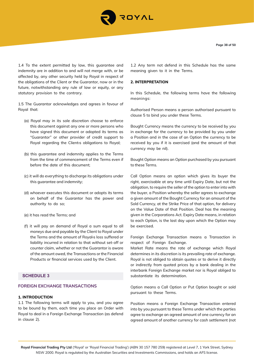

1.4 To the extent permitted by law, this guarantee and indemnity are in addition to and will not merge with, or be affected by, any other security held by Royal in respect of the obligations of the Client or the Guarantor, now or in the future, notwithstanding any rule of law or equity, or any statutory provision to the contrary.

1.5 The Guarantor acknowledges and agrees in favour of Royal that:

- (a) Royal may in its sole discretion choose to enforce this document against any one or more persons who have signed this document or adopted its terms as "Guarantor" or other provider of credit support to Royal regarding the Client›s obligations to Royal;
- (b) this guarantee and indemnity applies to the Terms from the time of commencement of the Terms even if before the date of this document;
- (c) it will do everything to discharge its obligations under this guarantee and indemnity;
- (d) whoever executes this document or adopts its terms on behalf of the Guarantor has the power and authority to do so;
- (e) it has read the Terms; and
- (f) it will pay on demand of Royal a sum equal to all moneys due and payable by the Client to Royal under the Terms and the amount of Royal›s loss suffered or liability incurred in relation to that without set-off or counter claim, whether or not the Guarantor is aware of the amount owed, the Transactions or the Financial Products or financial services used by the Client.

# **SCHEDULE 3**

#### **FOREIGN EXCHANGE TRANSACTIONS**

## **1. INTRODUCTION**

1.1 The following terms will apply to you, and you agree to be bound by them, each time you place an Order with Royal to deal in a Foreign Exchange Transaction (as defend in clause 2).

1.2 Any term not defend in this Schedule has the same meaning given to it in the Terms.

#### **2. INTERPRETATION**

In this Schedule, the following terms have the following meanings:

Authorised Person means a person authorised pursuant to clause 5 to bind you under these Terms.

Bought Currency means the currency to be received by you in exchange for the currency to be provided by you under a Position and in the case of an Option the currency to be received by you if it is exercised (and the amount of that currency may be nil).

Bought Option means an Option purchased by you pursuant to these Terms.

Call Option means an option which gives its buyer the right, exercisable at any time until Expiry Date, but not the obligation, to require the seller of the option to enter into with the buyer, a Position whereby the seller agrees to exchange a given amount of the Bought Currency for an amount of the Sold Currency, at the Strike Price of that option, for delivery on the Value Date of that Position. Deal has the meaning given in the Corporations Act. Expiry Date means, in relation to each Option, is the last day upon which the Option may be exercised.

Foreign Exchange Transaction means a Transaction in respect of Foreign Exchange.

Market Rate means the rate of exchange which Royal determines in its discretion is its prevailing rate of exchange. Royal is not obliged to obtain quotes or to derive it directly or indirectly from quoted prices by a bank dealing in the interbank Foreign Exchange market nor is Royal obliged to substantiate its determination.

Option means a Call Option or Put Option bought or sold pursuant to these Terms.

Position means a Foreign Exchange Transaction entered into by you pursuant to these Terms under which the parties agree to exchange an agreed amount of one currency for an agreed amount of another currency for cash settlement (not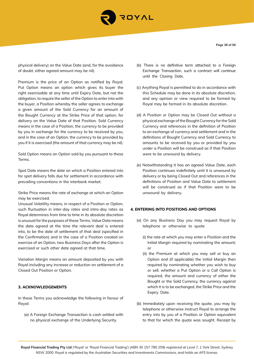

physical delivery) on the Value Date (and, for the avoidance of doubt, either agreed amount may be nil).

Premium is the price of an Option as notified by Royal. Put Option means an option which gives its buyer the right exercisable at any time until Expiry Date, but not the obligation, to require the seller of the Option to enter into with the buyer, a Position whereby the seller agrees to exchange a given amount of the Sold Currency for an amount of the Bought Currency at the Strike Price of that option, for delivery on the Value Date of that Position. Sold Currency means in the case of a Position, the currency to be provided by you in exchange for the currency to be received by you, and in the case of an Option, the currency to be provided by you if it is exercised (the amount of that currency may be nil).

Sold Option means an Option sold by you pursuant to these Terms.

Spot Date means the date on which a Position entered into for spot delivery falls due for settlement in accordance with prevailing conventions in the interbank market.

Strike Price means the rate of exchange at which an Option may be exercised.

Unusual Volatility means, in respect of a Position or Option, such fluctuation in inter-day rates and intra-day rates as Royal determines from time to time in its absolute discretion is unusual for the purposes of these Terms. Value Date means the date agreed at the time the relevant deal is entered into, to be the date of settlement of that deal (specified in the Confirmation) and in the case of a Position created on exercise of an Option, two Business Days after the Option is exercised or such other date agreed at that time.

Variation Margin means an amount deposited by you with Royal including any increase or reduction on settlement of a Closed Out Position or Option.

#### **3. ACKNOWLEDGEMENTS**

In these Terms you acknowledge the following in favour of Royal:

(a) A Foreign Exchange Transaction is cash settled with no physical exchange of the Underlying Security.

- (b) There is no definitive term attached to a Foreign Exchange Transaction, such a contract will continue until the Closing Date.
- (c) Anything Royal is permitted to do in accordance with this Schedule may be done in its absolute discretion, and any opinion or view required to be formed by Royal may be formed in its absolute discretion.
- (d) A Position or Option may be Closed Out without a physical exchange of the Bought Currency for the Sold Currency and references in the definition of Position to an exchange of currency and settlement and in the definitions of Bought Currency and Sold Currency to amounts to be received by you or provided by you under a Position will be construed as if that Position were to be unwound by delivery.
- (e) Notwithstanding it has an agreed Value Date, each Position continues indefinitely until it is unwound by delivery or by being Closed Out and references in the definitions of Position and Value Date to settlement will be construed as if that Position were to be unwound by delivery.

#### **4. ENTERING INTO POSITIONS AND OPTIONS**

- (a) On any Business Day you may request Royal by telephone or otherwise to quote
	- (i) the rate at which you may enter a Position and the Initial Margin required by nominating the amount; or
	- (ii) the Premium at which you may sell or buy an Option and (if applicable) the Initial Margin then required by nominating whether you wish to buy or sell, whether a Put Option or a Call Option is required, the amount and currency of either the Bought or the Sold Currency, the currency against which it is to be exchanged, the Strike Price and the Expiry Date.
- (b) Immediately upon receiving the quote, you may by telephone or otherwise instruct Royal to arrange the entry into by you of a Position or Option equivalent to that for which the quote was sought. Receipt by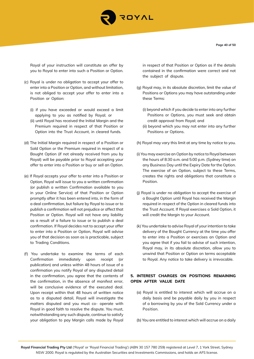

Royal of your instruction will constitute an offer by you to Royal to enter into such a Position or Option.

- (c) Royal is under no obligation to accept your offer to enter into a Position or Option, and without limitation, is not obliged to accept your offer to enter into a Position or Option:
	- (i) if you have exceeded or would exceed a limit applying to you as notified by Royal; or
	- (ii) until Royal has received the Initial Margin and the Premium required in respect of that Position or Option into the Trust Account, in cleared funds.
- (d) The Initial Margin required in respect of a Position or Sold Option or the Premium required in respect of a Bought Option (if not already received from you by Royal) will be payable prior to Royal accepting your offer to enter into a Position or buy or sell an Option.
- (e) If Royal accepts your offer to enter into a Position or Option, Royal will issue to you a written confirmation (or publish a written Confirmation available to you in your Online Service) of that Position or Option promptly after it has been entered into, in the form of a deal confirmation, but failure by Royal to issue or to publish a confirmation will not prejudice or affect that Position or Option. Royal will not have any liability as a result of a failure to issue or to publish a deal confirmation. If Royal decides not to accept your offer to enter into a Position or Option, Royal will advise you of that decision as soon as is practicable, subject to Trading Conditions.
- (f) You undertake to examine the terms of each Confirmation immediately upon receipt (or publication) and unless within 48 hours of issue of a confirmation you notify Royal of any disputed detail in the confirmation, you agree that the contents of the confirmation, in the absence of manifest error, will be conclusive evidence of the executed deal. Upon receipt within that 48 hours of written notice as to a disputed detail, Royal will investigate the matters disputed and you must co- operate with Royal in good faith to resolve the dispute. You must, notwithstanding any such dispute, continue to satisfy your obligation to pay Margin calls made by Royal

in respect of that Position or Option as if the details contained in the confirmation were correct and not the subject of dispute.

- (g) Royal may, in its absolute discretion, limit the value of Positions or Options you may have outstanding under these Terms:
	- (i) beyond which if you decide to enter into any further Positions or Options, you must seek and obtain credit approval from Royal; and
	- (ii) beyond which you may not enter into any further Positions or Options.
- (h) Royal may vary this limit at any time by notice to you.
- (i) You may exercise an Option by notice to Royal between the hours of 8:30 a.m. and 5:00 p.m. (Sydney time) on any Business Day until the Expiry Date for the Option. The exercise of an Option, subject to these Terms, creates the rights and obligations that constitute a Position.
- (j) Royal is under no obligation to accept the exercise of a Bought Option until Royal has received the Margin required in respect of the Option in cleared funds into the Trust Account. If Royal exercises a Sold Option, it will credit the Margin to your Account.
- (k) You undertake to advise Royal of your intention to take delivery of the Bought Currency at the time you offer to enter into a Position or exercises an Option and you agree that if you fail to advise of such intention, Royal may, in its absolute discretion, allow you to unwind that Position or Option on terms acceptable to Royal. Any notice to take delivery is irrevocable.

# **5. INTEREST CHARGES ON POSITIONS REMAINING OPEN AFTER VALUE DATE**

(a) Royal is entitled to interest which will accrue on a daily basis and be payable daily by you in respect of a borrowing by you of the Sold Currency under a Position.

(b) You are entitled to interest which will accrue on a daily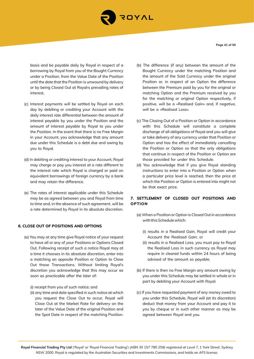

basis and be payable daily by Royal in respect of a borrowing by Royal from you of the Bought Currency under a Position, from the Value Date of the Position until the date that the Position is unwound by delivery or by being Closed Out at Royal›s prevailing rates of interest.

- (c) Interest payments will be settled by Royal on each day by debiting or crediting your Account with the daily interest rate differential between the amount of interest payable by you under the Position and the amount of interest payable by Royal to you under the Position. In the event that there is no Free Margin in your Account, you acknowledge that any amount due under this Schedule is a debt due and owing by you to Royal.
- (d) In debiting or crediting interest to your Account, Royal may charge or pay you interest at a rate different to the interest rate which Royal is charged or paid on equivalent borrowings of foreign currency by a bank and may retain the difference.
- (e) The rates of interest applicable under this Schedule may be as agreed between you and Royal from time to time and, in the absence of such agreement, will be a rate determined by Royal in its absolute discretion.

#### **6. CLOSE OUT OF POSITIONS AND OPTIONS**

(a) You may at any time give Royal notice of your request to have all or any of your Positions or Options Closed Out. Following receipt of such a notice Royal may at a time it chooses in its absolute discretion, enter into a matching an opposite Position or Option to Close Out those Transactions. Without limiting Royal's discretion you acknowledge that this may occur as soon as practicable after the later of:

(i) receipt from you of such notice; and

(ii) any time and date specified in such notice at which you request the Close Out to occur, Royal will Close Out at the Market Rate for delivery on the later of the Value Date of the original Position and the Spot Date in respect of the matching Position.

- (b) The difference (if any) between the amount of the Bought Currency under the matching Position and the amount of the Sold Currency under the original Position or, in respect of an Option the difference between the Premium paid by you for the original or matching Option and the Premium received by you for the matching or original Option respectively, if positive, will be a «Realised Gain» and, if negative, will be a «Realised Loss».
- (c) The Closing Out of a Position or Option in accordance with this Schedule will constitute a complete discharge of all obligations of Royal and you will give or take delivery of any currency under that Position or Option and has the effect of immediately cancelling the Position or Option so that the only obligations that continue in respect of the Position or Option are those provided for under this Schedule.
- (d) You acknowledge that if you give Royal standing instructions to enter into a Position or Option when a particular price level is reached, then the price at which the Position or Option is entered into might not be that exact price.

# **7. SETTLEMENT OF CLOSED OUT POSITIONS AND OPTION**

- (a) When a Position or Option is Closed Out in accordance with this Schedule which:
	- (i) results in a Realised Gain, Royal will credit your Account the Realised Gain; or
	- (ii) results in a Realised Loss, you must pay to Royal the Realised Loss in such currency as Royal may require in cleared funds within 24 hours of being advised of the amount so payable.
- (b) If there is then no Free Margin any amount owing by you under this Schedule may be settled in whole or in part by debiting your Account with Royal.
- (c) If you have requested payment of any money owed to you under this Schedule, Royal will (at its discretion) deduct that money from your Account and pay it to you by cheque or in such other manner as may be agreed between Royal and you.

**Page 41 of 50**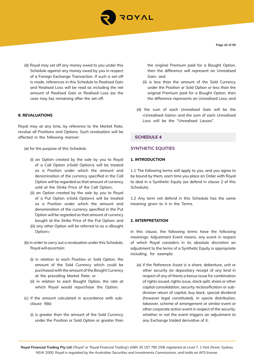

(d) Royal may set off any money owed to you under this Schedule against any money owed by you in respect of a Foreign Exchange Transaction. If such a set-off is made, references in this Schedule to Realised Gain and Realised Loss will be read as including the net amount of Realised Gain or Realised Loss (as the case may be) remaining after the set-off.

#### **8. REVALUATIONS**

Royal may at any time, by reference to the Market Rate, revalue all Positions and Options. Such revaluation will be affected in the following manner:

- (a) for the purpose of this Schedule:
	- (i) an Option created by the sale by you to Royal of a Call Option («Sold Option») will be treated as a Position under which the amount and denomination of the currency specified in the Call Option will be regarded as that amount of currency sold at the Strike Price of the Call Option;
	- (ii) an Option created by the sale by you to Royal of a Put Option («Sold Option») will be treated as a Position under which the amount and denomination of the currency specified in the Put Option will be regarded as that amount of currency bought at the Strike Price of the Put Option; and (iii) any other Option will be referred to as a «Bought
	- Option»;
- (b) in order to carry out a revaluation under this Schedule, Royal will ascertain:
	- (i) in relation to each Position or Sold Option, the amount of the Sold Currency which could be purchased with the amount of the Bought Currency at the prevailing Market Rate; or
	- (ii) in relation to each Bought Option, the rate at which Royal would repurchase the Option;
- (c) if the amount calculated in accordance with subclause 9(b):
	- (i) is greater than the amount of the Sold Currency under the Position or Sold Option or greater than

the original Premium paid for a Bought Option, then the difference will represent an Unrealised Gain; and

- (ii) is less than the amount of the Sold Currency under the Position or Sold Option or less than the original Premium paid for a Bought Option, then the difference represents an Unrealised Loss; and
- (d) the sum of each Unrealised Gain will be the «Unrealised Gains» and the sum of each Unrealised Loss will be the "Unrealised Losses".

## **SCHEDULE 4**

## **SYNTHETIC EQUITIES**

#### **1. INTRODUCTION**

1.1 The following terms will apply to you, and you agree to be bound by them, each time you place an Order with Royal to deal in a Synthetic Equity (as defend in clause 2 of this Schedule).

1.2 Any term not defend in this Schedule has the same meaning given to it in the Terms.

#### **2. INTERPRETATION**

In this clause, the following terms have the following meanings: Adjustment Event means, any event in respect of which Royal considers in its absolute discretion an adjustment to the terms of a Synthetic Equity is appropriate including, for example:

(a) if the Reference Asset is a share, debenture, unit or other security (or depositary receipt of any kind in respect of any of them) a bonus issue for combination of rights issued, rights issue, stock split, share or other capital consolidation, security reclassification or subdivision return of capital, buy back, special dividend (however legal constituted), in specie distribution, takeover, scheme of arrangement or similar event or other corporate action event in respect of the security, whether or not the event triggers an adjustment to any Exchange traded derivative of it,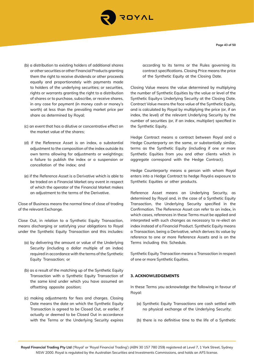

**Page 43 of 50**

- (b) a distribution to existing holders of additional shares or other securities or other Financial Products granting them the right to receive dividends or other proceeds equally and proportionately with payments made to holders of the underlying securities; or securities, rights or warrants granting the right to a distribution of shares or to purchase, subscribe, or receive shares, in any case for payment (in money cash or money's worth) at less than the prevailing market price per share as determined by Royal;
- (c) an event that has a dilutive or concentrative effect on the market value of the shares;
- (d) if the Reference Asset is an index, a substantial adjustment to the composition of the index outside its own terms allowing for adjustments or weightings; a failure to publish the index or a suspension or cancellation of the index; and
- (e) if the Reference Asset is a Derivative which is able to be traded on a Financial Market any event in respect of which the operator of the Financial Market makes an adjustment to the terms of the Derivative.

Close of Business means the normal time of close of trading of the relevant Exchange.

Close Out, in relation to a Synthetic Equity Transaction, means discharging or satisfying your obligations to Royal under the Synthetic Equity Transaction and this includes:

- (a) by delivering the amount or value of the Underlying Security (including a dollar multiple of an index) required in accordance with the terms of the Synthetic Equity Transaction; or
- (b) as a result of the matching up of the Synthetic Equity Transaction with a Synthetic Equity Transaction of the same kind under which you have assumed an offsetting opposite position;
- (c) making adjustments for fees and charges. Closing Date means the date on which the Synthetic Equity Transaction is agreed to be Closed Out, or earlier, if actually or deemed to be Closed Out in accordance with the Terms or the Underlying Security expires

according to its terms or the Rules governing its contract specifications. Closing Price means the price of the Synthetic Equity at the Closing Date.

Closing Value means the value determined by multiplying the number of Synthetic Equities by the value or level of the Synthetic Equity›s Underlying Security at the Closing Date. Contract Value means the face value of the Synthetic Equity, and is calculated by Royal by multiplying the price (or, if an index, the level) of the relevant Underlying Security by the number of securities (or, if an index, multiplier) specified in the Synthetic Equity.

Hedge Contract means a contract between Royal and a Hedge Counterparty on the same, or substantially similar, terms as the Synthetic Equity (including if one or more Synthetic Equities from you and other clients which in aggregate correspond with the Hedge Contract).

Hedge Counterparty means a person with whom Royal enters into a Hedge Contract to hedge Royal›s exposure to Synthetic Equities or other products.

Reference Asset means an Underlying Security, as determined by Royal and, in the case of a Synthetic Equity Transaction, the Underlying Security specified in the Confirmation. The Reference Asset can refer to an index, in which cases, references in these Terms must be applied and interpreted with such changes as necessary to re-elect an index instead of a Financial Product. Synthetic Equity means a Transaction, being a Derivative, which derives its value by reference to one or more Reference Assets and is on the Terms including this Schedule.

Synthetic Equity Transaction means a Transaction in respect of one or more Synthetic Equities.

## **3. ACKNOWLEDGEMENTS**

In these Terms you acknowledge the following in favour of Royal:

- (a) Synthetic Equity Transactions are cash settled with no physical exchange of the Underlying Security;
- (b) there is no definitive time to the life of a Synthetic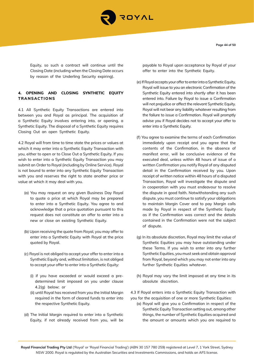

**Page 44 of 50**

Equity, so such a contract will continue until the Closing Date (including when the Closing Date occurs by reason of the Underling Security expiring).

# **4. OPENING AND CLOSING SYNTHETIC EQUITY TRANSACTIONS**

4.1 All Synthetic Equity Transactions are entered into between you and Royal as principal. The acquisition of a Synthetic Equity involves entering into, or opening, a Synthetic Equity. The disposal of a Synthetic Equity requires Closing Out an open Synthetic Equity.

4.2 Royal will from time to time state the prices or values at which it may enter into a Synthetic Equity Transaction with you, either to open or to Close Out a Synthetic Equity. If you wish to enter into a Synthetic Equity Transaction you may submit an Order to Royal (including by Online Service). Royal is not bound to enter into any Synthetic Equity Transaction with you and reserves the right to state another price or value at which it may deal with you.

- (a) You may request on any given Business Day Royal to quote a price at which Royal may be prepared to enter into a Synthetic Equity. You agree to and acknowledge that a price quotation pursuant to this request does not constitute an offer to enter into a new or close an existing Synthetic Equity.
- (b) Upon receiving the quote from Royal, you may offer to enter into a Synthetic Equity with Royal at the price quoted by Royal.
- (c) Royal is not obliged to accept your offer to enter into a Synthetic Equity and, without limitation, is not obliged to accept your offer to enter into a Synthetic Equity:
	- (i) if you have exceeded or would exceed a predetermined limit imposed on you under clause 4.2(g) below; or
	- (ii) until Royal has received from you the Initial Margin required in the form of cleared funds to enter into the respective Synthetic Equity.
- (d) The Initial Margin required to enter into a Synthetic Equity, if not already received from you, will be

payable to Royal upon acceptance by Royal of your offer to enter into the Synthetic Equity.

- (e) If Royal accepts your offer to enter into a Synthetic Equity, Royal will issue to you an electronic Confirmation of the Synthetic Equity entered into shortly after it has been entered into. Failure by Royal to issue a Confirmation will not prejudice or affect the relevant Synthetic Equity. Royal will not bear any liability whatever resulting from the failure to issue a Confirmation. Royal will promptly advise you if Royal decides not to accept your offer to enter into a Synthetic Equity.
- (f) You agree to examine the terms of each Confirmation immediately upon receipt and you agree that the contents of the Confirmation, in the absence of manifest error, will be conclusive evidence of the executed deal, unless within 48 hours of issue of a written Confirmation you notify Royal of any disputed detail in the Confirmation received by you. Upon receipt of written notice within 48 hours of a disputed Transaction, Royal will investigate the dispute and in cooperation with you must endeavour to resolve the dispute in good faith. Notwithstanding any such dispute, you must continue to satisfy your obligations to maintain Margin Cover and to pay Margin calls made by Royal in respect of the Synthetic Equity as if the Confirmation was correct and the details contained in the Confirmation were not the subject of dispute.
- (g) In its absolute discretion, Royal may limit the value of Synthetic Equities you may have outstanding under these Terms. If you wish to enter into any further Synthetic Equities, you must seek and obtain approval from Royal, beyond which you may not enter into any further Synthetic Equities whatever.
- (h) Royal may vary the limit imposed at any time in its absolute discretion.

4.3 If Royal enters into a Synthetic Equity Transaction with you for the acquisition of one or more Synthetic Equities:

(a) Royal will give you a Confirmation in respect of the Synthetic Equity Transaction setting out, among other things, the number of Synthetic Equities acquired and the amount or amounts which you are required to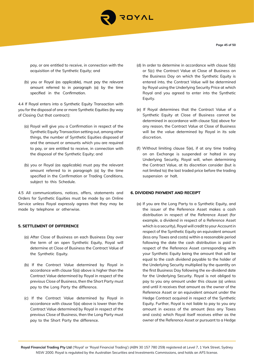

**Page 45 of 50**

pay, or are entitled to receive, in connection with the acquisition of the Synthetic Equity; and

(b) you or Royal (as applicable), must pay the relevant amount referred to in paragraph (a) by the time specified in the Confirmation.

4.4 If Royal enters into a Synthetic Equity Transaction with you for the disposal of one or more Synthetic Equities (by way of Closing Out that contract):

- (a) Royal will give you a Confirmation in respect of the Synthetic Equity Transaction setting out, among other things, the number of Synthetic Equities disposed of and the amount or amounts which you are required to pay, or are entitled to receive, in connection with the disposal of the Synthetic Equity; and
- (b) you or Royal (as applicable) must pay the relevant amount referred to in paragraph (a) by the time specified in the Confirmation or Trading Conditions, subject to this Schedule.

4.5 All communications, notices, offers, statements and Orders for Synthetic Equities must be made by an Online Service unless Royal expressly agrees that they may be made by telephone or otherwise.

#### **5. SETTLEMENT OF DIFFERENCE**

- (a) After Close of Business on each Business Day over the term of an open Synthetic Equity, Royal will determine at Close of Business the Contract Value of the Synthetic Equity.
- (b) If the Contract Value determined by Royal in accordance with clause 5(a) above is higher than the Contract Value determined by Royal in respect of the previous Close of Business, then the Short Party must pay to the Long Party the difference.
- (c) If the Contract Value determined by Royal in accordance with clause 5(a) above is lower than the Contract Value determined by Royal in respect of the previous Close of Business, then the Long Party must pay to the Short Party the difference.
- (d) In order to determine in accordance with clause 5(b) or 5(c) the Contract Value at Close of Business on the Business Day on which the Synthetic Equity is entered into, the Contract Value will be determined by Royal using the Underlying Security Price at which Royal and you agreed to enter into the Synthetic Equity.
- (e) If Royal determines that the Contract Value of a Synthetic Equity at Close of Business cannot be determined in accordance with clause 5(a) above for any reason, the Contract Value at Close of Business will be the value determined by Royal in its sole discretion.
- (f) Without limiting clause 5(e), if at any time trading on an Exchange is suspended or halted in any Underlying Security, Royal will, when determining the Contract Value, at its discretion consider (but is not limited to) the last traded price before the trading suspension or halt.

#### **6. DIVIDEND PAYMENT AND RECEIPT**

(a) If you are the Long Party to a Synthetic Equity, and the issuer of the Reference Asset makes a cash distribution in respect of the Reference Asset (for example, a dividend in respect of a Reference Asset which is a security), Royal will credit to your Account in respect of the Synthetic Equity an equivalent amount (less any Taxes and costs) within a reasonable period following the date the cash distribution is paid in respect of the Reference Asset corresponding with your Synthetic Equity being the amount that will be equal to the cash dividend payable to the holder of the Underlying Security multiplied by the quantity on the first Business Day following the ex-dividend date for the Underlying Security. Royal is not obliged to pay to you any amount under this clause (a) unless and until it receives that amount as the owner of the Reference Asset or an equivalent amount under the Hedge Contract acquired in respect of the Synthetic Equity. Further, Royal is not liable to pay to you any amount in excess of the amount (less any Taxes and costs) which Royal itself receives either as the owner of the Reference Asset or pursuant to a Hedge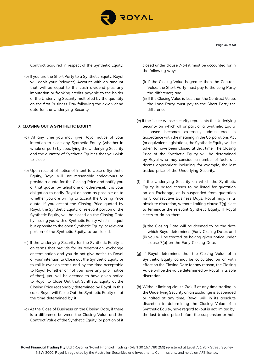

Contract acquired in respect of the Synthetic Equity.

(b) If you are the Short Party to a Synthetic Equity, Royal will debit your (relevant) Account with an amount that will be equal to the cash dividend plus any imputation or franking credits payable to the holder of the Underlying Security multiplied by the quantity on the first Business Day following the ex-dividend date for the Underlying Security.

## **7. CLOSING OUT A SYNTHETIC EQUITY**

- (a) At any time you may give Royal notice of your intention to close any Synthetic Equity (whether in whole or part) by specifying the Underlying Security and the quantity of Synthetic Equities that you wish to close.
- (b) Upon receipt of notice of intent to close a Synthetic Equity, Royal will use reasonable endeavours to provide a quote for the Closing Price and notify you of that quote (by telephone or otherwise). It is your obligation to notify Royal as soon as possible as to whether you are willing to accept the Closing Price quote. If you accept the Closing Price quoted by Royal, the Synthetic Equity, or relevant portion of the Synthetic Equity, will be closed on the Closing Date by issuing you with a Synthetic Equity which is equal but opposite to the open Synthetic Equity, or relevant portion of the Synthetic Equity, to be closed.
- (c) If the Underlying Security for the Synthetic Equity is on terms that provide for its redemption, exchange or termination and you do not give notice to Royal of your intention to Close out the Synthetic Equity or to roll it over on terms and by the time acceptable to Royal (whether or not you have any prior notice of that), you will be deemed to have given notice to Royal to Close Out that Synthetic Equity at the Closing Price reasonably determined by Royal. In this case, Royal will Close Out the Synthetic Equity as at the time determined by it.
- (d) At the Close of Business on the Closing Date, if there is a difference between the Closing Value and the Contract Value of the Synthetic Equity (or portion of it

closed under clause 7(b)) it must be accounted for in the following way:

- (i) If the Closing Value is greater than the Contract Value, the Short Party must pay to the Long Party the difference; and
- (ii) If the Closing Value is less than the Contract Value, the Long Party must pay to the Short Party the difference.
- (e) If the issuer whose security represents the Underlying Security on which all or part of a Synthetic Equity is based becomes externally administered in accordance with the meaning in the Corporations Act (or equivalent legislation), the Synthetic Equity will be taken to have been Closed at that time. The Closing Price of the Synthetic Equity will be determined by Royal who may consider a number of factors it deems appropriate including, for example, the last traded price of the Underlying Security.
- (f) If the Underlying Security on which the Synthetic Equity is based ceases to be listed for quotation on an Exchange, or is suspended from quotation for 5 consecutive Business Days, Royal may, in its absolute discretion, without limiting clause 7(g) elect to terminate the relevant Synthetic Equity. If Royal elects to do so then:
	- (i) the Closing Date will be deemed to be the date which Royal determines (Early Closing Date); and
	- (ii) you will be treated as having given notice under clause 7(a) on the Early Closing Date.
- (g) If Royal determines that the Closing Value of a Synthetic Equity cannot be calculated on or with effect on the Closing Date for any reason, the Closing Value will be the value determined by Royal in its sole discretion.
- (h) Without limiting clause 7(g), if at any time trading in the Underlying Security on an Exchange is suspended or halted at any time, Royal will, in its absolute discretion in determining the Closing Value of a Synthetic Equity, have regard to (but is not limited by) the last traded price before the suspension or halt.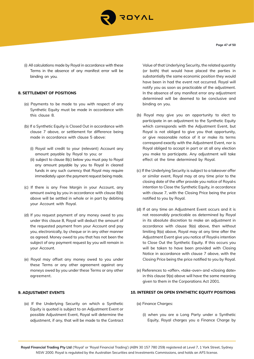

**Page 47 of 50**

(i) All calculations made by Royal in accordance with these Terms in the absence of any manifest error will be binding on you.

## **8. SETTLEMENT OF POSITIONS**

- (a) Payments to be made to you with respect of any Synthetic Equity must be made in accordance with this clause 8.
- (b) If a Synthetic Equity is Closed Out in accordance with clause 7 above, or settlement for difference being made in accordance with clause 5 above:
	- (i) Royal will credit to your (relevant) Account any amount payable by Royal to you; or
	- (ii) subject to clause 8(c) below you must pay to Royal any amount payable by you to Royal in cleared funds in any such currency that Royal may require immediately upon the payment request being made.
- (c) If there is any Free Margin in your Account, any amount owing by you in accordance with clause 8(b) above will be settled in whole or in part by debiting your Account with Royal.
- (d) If you request payment of any money owed to you under this clause 8, Royal will deduct the amount of the requested payment from your Account and pay you, electronically, by cheque or in any other manner as agreed. Money owed to you that has not been the subject of any payment request by you will remain in your Account.
- (e) Royal may offset any money owed to you under these Terms or any other agreement against any moneys owed by you under these Terms or any other agreement.

#### **9. ADJUSTMENT EVENTS**

(a) If the Underlying Security on which a Synthetic Equity is quoted is subject to an Adjustment Event or possible Adjustment Event, Royal will determine the adjustment, if any, that will be made to the Contract Value of that Underlying Security, the related quantity (or both) that would have placed the parties in substantially the same economic position they would have been in had the event not occurred. Royal will notify you as soon as practicable of the adjustment. In the absence of any manifest error any adjustment determined will be deemed to be conclusive and binding on you.

- (b) Royal may give you an opportunity to elect to participate in an adjustment to the Synthetic Equity which corresponds with the Adjustment Event, but Royal is not obliged to give you that opportunity, or give reasonable notice of it or make its terms correspond exactly with the Adjustment Event, nor is Royal obliged to accept in part or at all any election you make to participate. Any adjustment will take effect at the time determined by Royal.
- (c) If the Underlying Security is subject to a takeover offer or similar event, Royal may at any time prior to the closing date of the offer provide you notice of Royal›s intention to Close the Synthetic Equity, in accordance with clause 7, with the Closing Price being the price notified to you by Royal.
- (d) If at any time an Adjustment Event occurs and it is not reasonably practicable as determined by Royal in its absolute discretion to make an adjustment in accordance with clause 9(a) above, then without limiting 9(a) above, Royal may at any time after the Adjustment Event give you notice of Royal›s intention to Close Out the Synthetic Equity. If this occurs you will be taken to have been provided with Closing Notice in accordance with clause 7 above, with the Closing Price being the price notified to you by Royal.
- (e) References to «offer», «take-over» and «closing date» in this clause 9(a) above will have the same meaning given to them in the Corporations Act 2001.

## **10. INTEREST ON OPEN SYNTHETIC EQUITY POSITIONS**

- (a) Finance Charges:
	- (i) when you are a Long Party under a Synthetic Equity, Royal charges you a Finance Charge by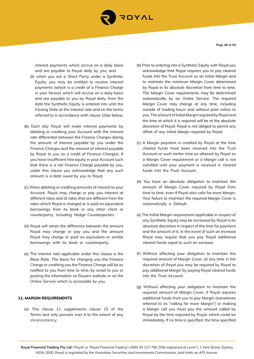

interest payments which accrue on a daily basis and are payable to Royal daily by you; and

- (ii) when you are a Short Party under a Synthetic Equity, you may be entitled to receive interest payments (which is a credit of a Finance Charge in your favour) which will accrue on a daily basis and are payable to you by Royal daily, from the date the Synthetic Equity is entered into until the Closing Date at the interest rate and on the terms referred to in accordance with clause 10(e) below.
- (b) Each day Royal will make interest payments by debiting or crediting your Account with the interest rate differential between the Finance Charges (being the amount of interest payable by you under the Finance Charges and the amount of interest payable by Royal to you as a credit of Finance Charges). If you have insufficient free equity in your Account such that there is a net Finance Charge payable by you, under this clause you acknowledge that any such amount is a debt owed by you to Royal.
- (c) When debiting or crediting amounts of interest to your Account, Royal may charge or pay you interest at different rates and at rates that are different from the rates which Royal is charged or is paid on equivalent borrowings from its bank or any other client or counterparty, including Hedge Counterparties.
- (d) Royal will retain the difference between the amount Royal may charge or pay you and the amount Royal may charge or paid on equivalent or similar borrowings with its bank or counterparty.
- (e) The interest rate applicable under this clause is the Base Rate. The basis for charging you the Finance Charge or crediting you the Finance Charge will be as notified to you from time to time, by email to you or posting the information on Royal›s website or on the Online Service which is accessible by you.

# **11. MARGIN REQUIREMENTS**

(a) This clause 11 supplements clause 15 of the Terms and only prevails over it to the extent of any inconsistency.

- (b) Prior to entering into a Synthetic Equity with Royal you acknowledge that Royal requires you to pay cleared funds into the Trust Account as an Initial Margin and to maintain the minimum Margin Cover determined by Royal in its absolute discretion from time to time. The Margin Cover requirements may be determined automatically by an Online Service. The required Margin Cover may change at any time, including outside of trading hours and without prior notice to you. The amount of Initial Margin required by Royal and the time at which it is required will be at the absolute discretion of Royal. Royal is not obliged to permit any offset of any Initial Margin required by Royal.
- (c) A Margin payment is credited by Royal at the time cleared funds have been received into the Trust Account or such earlier time as allowed by Royal so a Margin Cover requirement or a Margin call is not satisfied until your payment is received in cleared funds into the Trust Account.
- (d) You have an absolute obligation to maintain the amount of Margin Cover required by Royal from time to time, even if Royal also calls for more Margin. Your failure to maintain the required Margin Cover is automatically a Default.
- (e) The Initial Margin requirement applicable in respect of any Synthetic Equity may be increased by Royal in its absolute discretion in respect of the time for payment and the amount of it. In the event of such an increase Royal may require that you pay Royal additional cleared funds equal to such an increase.
- (f) Without affecting your obligation to maintain the required amount of Margin Cover, at any time in the discretion of Royal you may be required by Royal to pay additional Margin by paying Royal cleared funds into the Trust Account.
- (g) Without affecting your obligation to maintain the required amount of Margin Cover, if Royal requires additional funds from you to pay Margin (sometimes referred to as "calling for more Margin") or making a Margin call you must pay the amount called by Royal by the time required by Royal, which could be immediately. If no time is specified, the time specified

**Page 48 of 50**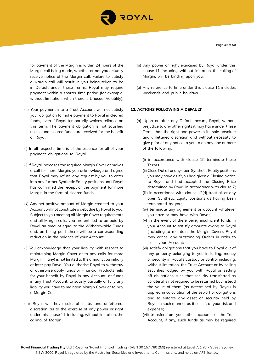

**Page 49 of 50**

for payment of the Margin is within 24 hours of the Margin call being made, whether or not you actually receive notice of the Margin call. Failure to satisfy a Margin call will result in you being taken to be in Default under these Terms. Royal may require payment within a shorter time period (for example, without limitation, when there is Unusual Volatility).

- (h) Your payment into a Trust Account will not satisfy your obligation to make payment to Royal in cleared funds, even if Royal temporarily waives reliance on this term. The payment obligation is not satisfied unless and cleared funds are received for the benefit of Royal.
- (i) In all respects, time is of the essence for all of your payment obligations to Royal.
- (j) If Royal increases the required Margin Cover or makes a call for more Margin, you acknowledge and agree that Royal may refuse any request by you to enter into any further Synthetic Equity positions until Royal has confirmed the receipt of the payment for more Margin in the form of cleared funds.
- (k) Any net positive amount of Margin credited to your Account will not constitute a debt due by Royal to you. Subject to you meeting all Margin Cover requirements and all Margin calls, you are entitled to be paid by Royal an amount equal to the Withdrawable Funds and, on being paid, there will be a corresponding reduction in the balance of your Account.
- (l) You acknowledge that your liability with respect to maintaining Margin Cover or to pay calls for more Margin (if any) is not limited to the amount you initially or later pay Royal. You authorise Royal to withdraw or otherwise apply funds or Financial Products held for your benefit by Royal in any Account, or funds in any Trust Account, to satisfy partially or fully any liability you have to maintain Margin Cover or to pay a Margin Call.
- (m) Royal will have sole, absolute, and unfettered, discretion, as to the exercise of any power or right under this clause 11, including, without limitation, the calling of Margin.
- (n) Any power or right exercised by Royal under this clause 11, including, without limitation, the calling of Margin, will be binding upon you.
- (o) Any reference to time under this clause 11 includes weekends and public holidays.

## **12. ACTIONS FOLLOWING A DEFAULT**

- (a) Upon or after any Default occurs, Royal, without prejudice to any other rights it may have under these Terms, has the right and power in its sole absolute and unfettered discretion and without necessity to give prior or any notice to you to do any one or more of the following:
	- (i) in accordance with clause 15 terminate these Terms;
	- (ii) Close Out all or any open Synthetic Equity positions you may have as if you had given a Closing Notice to Royal and had accepted the Closing Price determined by Royal in accordance with clause 7;
	- (iii) in accordance with clause 12(d) treat all or any open Synthetic Equity positions as having been terminated by you;
	- (iv) terminate any agreement or account whatever you have or may have with Royal;
	- (v) in the event of there being insufficient funds in your Account to satisfy amounts owing to Royal (including to maintain the Margin Cover), Royal may cancel any outstanding Orders in order to close your Account;
	- (vi) satisfy obligations that you have to Royal out of any property belonging to you including, money or security in Royal's custody or control including, without limitation, the Trust Account or by selling securities lodged by you with Royal or setting off obligations such that security transferred as collateral is not required to be returned but instead the value of them (as determined by Royal) is applied in calculation of the set-off of obligations and to enforce any asset or security held by Royal in such manner as it sees ft at your risk and expense;
	- (vii) transfer from your other accounts or the Trust Account, if any, such funds as may be required